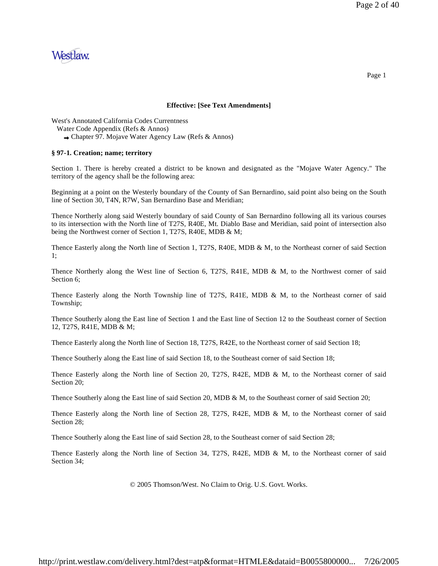

#### **Effective: [See Text Amendments]**

West's Annotated California Codes Currentness

Chapter 97. Mojave Water Agency Law (Refs & Annos)

### **§ 97-1. Creation; name; territory**

Section 1. There is hereby created a district to be known and designated as the "Mojave Water Agency." The territory of the agency shall be the following area:

Beginning at a point on the Westerly boundary of the County of San Bernardino, said point also being on the South line of Section 30, T4N, R7W, San Bernardino Base and Meridian;

Thence Northerly along said Westerly boundary of said County of San Bernardino following all its various courses to its intersection with the North line of T27S, R40E, Mt. Diablo Base and Meridian, said point of intersection also being the Northwest corner of Section 1, T27S, R40E, MDB & M;

Thence Easterly along the North line of Section 1, T27S, R40E, MDB & M, to the Northeast corner of said Section 1;

Thence Northerly along the West line of Section 6, T27S, R41E, MDB & M, to the Northwest corner of said Section 6;

Thence Easterly along the North Township line of T27S, R41E, MDB & M, to the Northeast corner of said Township;

Thence Southerly along the East line of Section 1 and the East line of Section 12 to the Southeast corner of Section 12, T27S, R41E, MDB & M;

Thence Easterly along the North line of Section 18, T27S, R42E, to the Northeast corner of said Section 18;

Thence Southerly along the East line of said Section 18, to the Southeast corner of said Section 18;

Thence Easterly along the North line of Section 20, T27S, R42E, MDB & M, to the Northeast corner of said Section 20;

Thence Southerly along the East line of said Section 20, MDB & M, to the Southeast corner of said Section 20;

Thence Easterly along the North line of Section 28, T27S, R42E, MDB & M, to the Northeast corner of said Section 28;

Thence Southerly along the East line of said Section 28, to the Southeast corner of said Section 28;

Thence Easterly along the North line of Section 34, T27S, R42E, MDB & M, to the Northeast corner of said Section 34;

© 2005 Thomson/West. No Claim to Orig. U.S. Govt. Works.

Page 1

Water Code Appendix (Refs & Annos)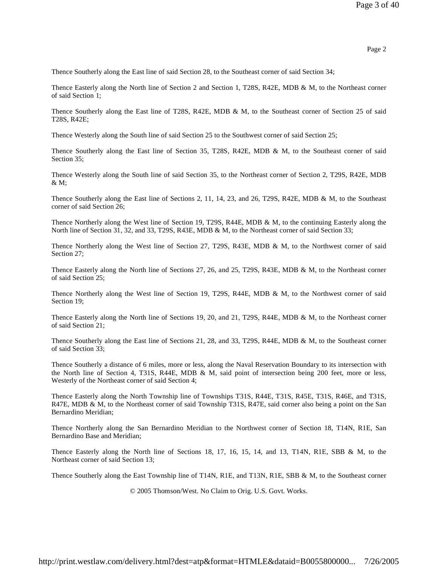Thence Southerly along the East line of said Section 28, to the Southeast corner of said Section 34;

Thence Easterly along the North line of Section 2 and Section 1, T28S, R42E, MDB & M, to the Northeast corner of said Section 1;

Thence Southerly along the East line of T28S, R42E, MDB & M, to the Southeast corner of Section 25 of said T28S, R42E;

Thence Westerly along the South line of said Section 25 to the Southwest corner of said Section 25;

Thence Southerly along the East line of Section 35, T28S, R42E, MDB & M, to the Southeast corner of said Section 35:

Thence Westerly along the South line of said Section 35, to the Northeast corner of Section 2, T29S, R42E, MDB & M;

Thence Southerly along the East line of Sections 2, 11, 14, 23, and 26, T29S, R42E, MDB & M, to the Southeast corner of said Section 26;

Thence Northerly along the West line of Section 19, T29S, R44E, MDB & M, to the continuing Easterly along the North line of Section 31, 32, and 33, T29S, R43E, MDB & M, to the Northeast corner of said Section 33;

Thence Northerly along the West line of Section 27, T29S, R43E, MDB & M, to the Northwest corner of said Section 27;

Thence Easterly along the North line of Sections 27, 26, and 25, T29S, R43E, MDB & M, to the Northeast corner of said Section 25;

Thence Northerly along the West line of Section 19, T29S, R44E, MDB & M, to the Northwest corner of said Section 19;

Thence Easterly along the North line of Sections 19, 20, and 21, T29S, R44E, MDB & M, to the Northeast corner of said Section 21;

Thence Southerly along the East line of Sections 21, 28, and 33, T29S, R44E, MDB & M, to the Southeast corner of said Section 33;

Thence Southerly a distance of 6 miles, more or less, along the Naval Reservation Boundary to its intersection with the North line of Section 4, T31S, R44E, MDB & M, said point of intersection being 200 feet, more or less, Westerly of the Northeast corner of said Section 4;

Thence Easterly along the North Township line of Townships T31S, R44E, T31S, R45E, T31S, R46E, and T31S, R47E, MDB & M, to the Northeast corner of said Township T31S, R47E, said corner also being a point on the San Bernardino Meridian;

Thence Northerly along the San Bernardino Meridian to the Northwest corner of Section 18, T14N, R1E, San Bernardino Base and Meridian;

Thence Easterly along the North line of Sections 18, 17, 16, 15, 14, and 13, T14N, R1E, SBB & M, to the Northeast corner of said Section 13;

Thence Southerly along the East Township line of T14N, R1E, and T13N, R1E, SBB & M, to the Southeast corner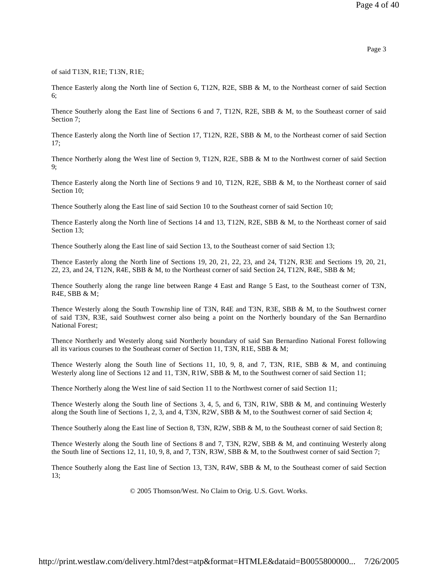of said T13N, R1E; T13N, R1E;

Thence Easterly along the North line of Section 6, T12N, R2E, SBB & M, to the Northeast corner of said Section 6;

Thence Southerly along the East line of Sections 6 and 7, T12N, R2E, SBB & M, to the Southeast corner of said Section 7:

Thence Easterly along the North line of Section 17, T12N, R2E, SBB & M, to the Northeast corner of said Section 17;

Thence Northerly along the West line of Section 9, T12N, R2E, SBB & M to the Northwest corner of said Section 9;

Thence Easterly along the North line of Sections 9 and 10, T12N, R2E, SBB & M, to the Northeast corner of said Section 10;

Thence Southerly along the East line of said Section 10 to the Southeast corner of said Section 10;

Thence Easterly along the North line of Sections 14 and 13, T12N, R2E, SBB & M, to the Northeast corner of said Section 13;

Thence Southerly along the East line of said Section 13, to the Southeast corner of said Section 13;

Thence Easterly along the North line of Sections 19, 20, 21, 22, 23, and 24, T12N, R3E and Sections 19, 20, 21, 22, 23, and 24, T12N, R4E, SBB & M, to the Northeast corner of said Section 24, T12N, R4E, SBB & M;

Thence Southerly along the range line between Range 4 East and Range 5 East, to the Southeast corner of T3N, R4E, SBB & M;

Thence Westerly along the South Township line of T3N, R4E and T3N, R3E, SBB & M, to the Southwest corner of said T3N, R3E, said Southwest corner also being a point on the Northerly boundary of the San Bernardino National Forest;

Thence Northerly and Westerly along said Northerly boundary of said San Bernardino National Forest following all its various courses to the Southeast corner of Section 11, T3N, R1E, SBB & M;

Thence Westerly along the South line of Sections 11, 10, 9, 8, and 7, T3N, R1E, SBB & M, and continuing Westerly along line of Sections 12 and 11, T3N, R1W, SBB & M, to the Southwest corner of said Section 11;

Thence Northerly along the West line of said Section 11 to the Northwest corner of said Section 11;

Thence Westerly along the South line of Sections 3, 4, 5, and 6, T3N, R1W, SBB & M, and continuing Westerly along the South line of Sections 1, 2, 3, and 4, T3N, R2W, SBB & M, to the Southwest corner of said Section 4;

Thence Southerly along the East line of Section 8, T3N, R2W, SBB & M, to the Southeast corner of said Section 8;

Thence Westerly along the South line of Sections 8 and 7, T3N, R2W, SBB & M, and continuing Westerly along the South line of Sections 12, 11, 10, 9, 8, and 7, T3N, R3W, SBB & M, to the Southwest corner of said Section 7;

Thence Southerly along the East line of Section 13, T3N, R4W, SBB & M, to the Southeast corner of said Section 13;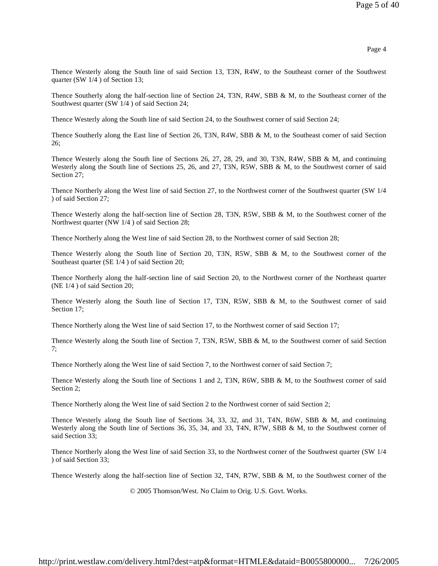Thence Westerly along the South line of said Section 13, T3N, R4W, to the Southeast corner of the Southwest quarter (SW 1/4 ) of Section 13;

Thence Southerly along the half-section line of Section 24, T3N, R4W, SBB & M, to the Southeast corner of the Southwest quarter (SW 1/4 ) of said Section 24;

Thence Westerly along the South line of said Section 24, to the Southwest corner of said Section 24;

Thence Southerly along the East line of Section 26, T3N, R4W, SBB & M, to the Southeast corner of said Section 26;

Thence Westerly along the South line of Sections 26, 27, 28, 29, and 30, T3N, R4W, SBB & M, and continuing Westerly along the South line of Sections 25, 26, and 27, T3N, R5W, SBB & M, to the Southwest corner of said Section 27:

Thence Northerly along the West line of said Section 27, to the Northwest corner of the Southwest quarter (SW 1/4 ) of said Section 27;

Thence Westerly along the half-section line of Section 28, T3N, R5W, SBB & M, to the Southwest corner of the Northwest quarter (NW 1/4 ) of said Section 28;

Thence Northerly along the West line of said Section 28, to the Northwest corner of said Section 28;

Thence Westerly along the South line of Section 20, T3N, R5W, SBB & M, to the Southwest corner of the Southeast quarter (SE 1/4 ) of said Section 20;

Thence Northerly along the half-section line of said Section 20, to the Northwest corner of the Northeast quarter (NE 1/4 ) of said Section 20;

Thence Westerly along the South line of Section 17, T3N, R5W, SBB & M, to the Southwest corner of said Section 17;

Thence Northerly along the West line of said Section 17, to the Northwest corner of said Section 17;

Thence Westerly along the South line of Section 7, T3N, R5W, SBB & M, to the Southwest corner of said Section 7;

Thence Northerly along the West line of said Section 7, to the Northwest corner of said Section 7;

Thence Westerly along the South line of Sections 1 and 2, T3N, R6W, SBB & M, to the Southwest corner of said Section 2;

Thence Northerly along the West line of said Section 2 to the Northwest corner of said Section 2;

Thence Westerly along the South line of Sections 34, 33, 32, and 31, T4N, R6W, SBB & M, and continuing Westerly along the South line of Sections 36, 35, 34, and 33, T4N, R7W, SBB & M, to the Southwest corner of said Section 33;

Thence Northerly along the West line of said Section 33, to the Northwest corner of the Southwest quarter (SW 1/4 ) of said Section 33;

Thence Westerly along the half-section line of Section 32, T4N, R7W, SBB & M, to the Southwest corner of the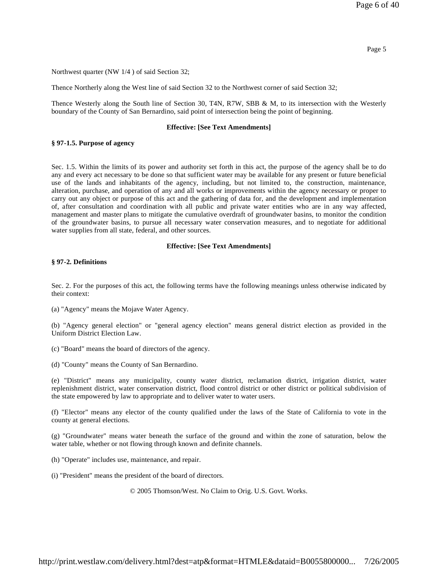Northwest quarter (NW 1/4 ) of said Section 32;

Thence Northerly along the West line of said Section 32 to the Northwest corner of said Section 32;

Thence Westerly along the South line of Section 30, T4N, R7W, SBB & M, to its intersection with the Westerly boundary of the County of San Bernardino, said point of intersection being the point of beginning.

#### **Effective: [See Text Amendments]**

### **§ 97-1.5. Purpose of agency**

Sec. 1.5. Within the limits of its power and authority set forth in this act, the purpose of the agency shall be to do any and every act necessary to be done so that sufficient water may be available for any present or future beneficial use of the lands and inhabitants of the agency, including, but not limited to, the construction, maintenance, alteration, purchase, and operation of any and all works or improvements within the agency necessary or proper to carry out any object or purpose of this act and the gathering of data for, and the development and implementation of, after consultation and coordination with all public and private water entities who are in any way affected, management and master plans to mitigate the cumulative overdraft of groundwater basins, to monitor the condition of the groundwater basins, to pursue all necessary water conservation measures, and to negotiate for additional water supplies from all state, federal, and other sources.

### **Effective: [See Text Amendments]**

### **§ 97-2. Definitions**

Sec. 2. For the purposes of this act, the following terms have the following meanings unless otherwise indicated by their context:

(a) "Agency" means the Mojave Water Agency.

(b) "Agency general election" or "general agency election" means general district election as provided in the Uniform District Election Law.

- (c) "Board" means the board of directors of the agency.
- (d) "County" means the County of San Bernardino.

(e) "District" means any municipality, county water district, reclamation district, irrigation district, water replenishment district, water conservation district, flood control district or other district or political subdivision of the state empowered by law to appropriate and to deliver water to water users.

(f) "Elector" means any elector of the county qualified under the laws of the State of California to vote in the county at general elections.

(g) "Groundwater" means water beneath the surface of the ground and within the zone of saturation, below the water table, whether or not flowing through known and definite channels.

(h) "Operate" includes use, maintenance, and repair.

(i) "President" means the president of the board of directors.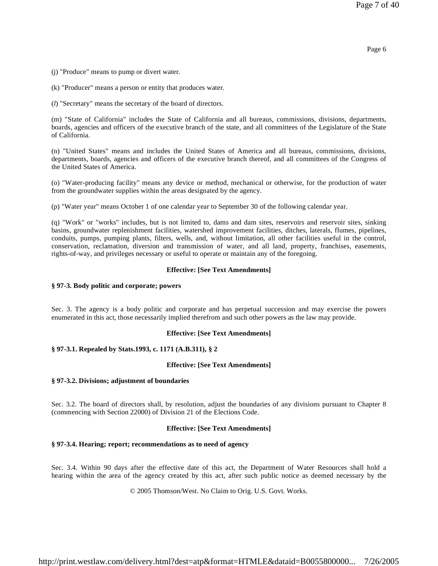Page 6

(j) "Produce" means to pump or divert water.

(k) "Producer" means a person or entity that produces water.

(*l*) "Secretary" means the secretary of the board of directors.

(m) "State of California" includes the State of California and all bureaus, commissions, divisions, departments, boards, agencies and officers of the executive branch of the state, and all committees of the Legislature of the State of California.

(n) "United States" means and includes the United States of America and all bureaus, commissions, divisions, departments, boards, agencies and officers of the executive branch thereof, and all committees of the Congress of the United States of America.

(o) "Water-producing facility" means any device or method, mechanical or otherwise, for the production of water from the groundwater supplies within the areas designated by the agency.

(p) "Water year" means October 1 of one calendar year to September 30 of the following calendar year.

(q) "Work" or "works" includes, but is not limited to, dams and dam sites, reservoirs and reservoir sites, sinking basins, groundwater replenishment facilities, watershed improvement facilities, ditches, laterals, flumes, pipelines, conduits, pumps, pumping plants, filters, wells, and, without limitation, all other facilities useful in the control, conservation, reclamation, diversion and transmission of water, and all land, property, franchises, easements, rights-of-way, and privileges necessary or useful to operate or maintain any of the foregoing.

# **Effective: [See Text Amendments]**

### **§ 97-3. Body politic and corporate; powers**

Sec. 3. The agency is a body politic and corporate and has perpetual succession and may exercise the powers enumerated in this act, those necessarily implied therefrom and such other powers as the law may provide.

# **Effective: [See Text Amendments]**

# **§ 97-3.1. Repealed by Stats.1993, c. 1171 (A.B.311), § 2**

#### **Effective: [See Text Amendments]**

#### **§ 97-3.2. Divisions; adjustment of boundaries**

Sec. 3.2. The board of directors shall, by resolution, adjust the boundaries of any divisions pursuant to Chapter 8 (commencing with Section 22000) of Division 21 of the Elections Code.

### **Effective: [See Text Amendments]**

# **§ 97-3.4. Hearing; report; recommendations as to need of agency**

Sec. 3.4. Within 90 days after the effective date of this act, the Department of Water Resources shall hold a hearing within the area of the agency created by this act, after such public notice as deemed necessary by the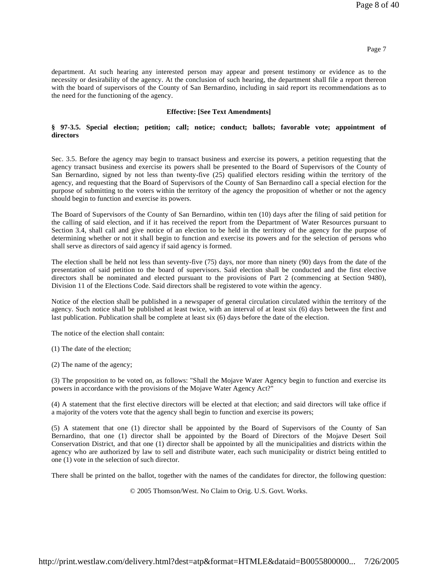department. At such hearing any interested person may appear and present testimony or evidence as to the necessity or desirability of the agency. At the conclusion of such hearing, the department shall file a report thereon with the board of supervisors of the County of San Bernardino, including in said report its recommendations as to the need for the functioning of the agency.

### **Effective: [See Text Amendments]**

### **§ 97-3.5. Special election; petition; call; notice; conduct; ballots; favorable vote; appointment of directors**

Sec. 3.5. Before the agency may begin to transact business and exercise its powers, a petition requesting that the agency transact business and exercise its powers shall be presented to the Board of Supervisors of the County of San Bernardino, signed by not less than twenty-five (25) qualified electors residing within the territory of the agency, and requesting that the Board of Supervisors of the County of San Bernardino call a special election for the purpose of submitting to the voters within the territory of the agency the proposition of whether or not the agency should begin to function and exercise its powers.

The Board of Supervisors of the County of San Bernardino, within ten (10) days after the filing of said petition for the calling of said election, and if it has received the report from the Department of Water Resources pursuant to Section 3.4, shall call and give notice of an election to be held in the territory of the agency for the purpose of determining whether or not it shall begin to function and exercise its powers and for the selection of persons who shall serve as directors of said agency if said agency is formed.

The election shall be held not less than seventy-five (75) days, nor more than ninety (90) days from the date of the presentation of said petition to the board of supervisors. Said election shall be conducted and the first elective directors shall be nominated and elected pursuant to the provisions of Part 2 (commencing at Section 9480), Division 11 of the Elections Code. Said directors shall be registered to vote within the agency.

Notice of the election shall be published in a newspaper of general circulation circulated within the territory of the agency. Such notice shall be published at least twice, with an interval of at least six (6) days between the first and last publication. Publication shall be complete at least six (6) days before the date of the election.

The notice of the election shall contain:

(1) The date of the election;

(2) The name of the agency;

(3) The proposition to be voted on, as follows: "Shall the Mojave Water Agency begin to function and exercise its powers in accordance with the provisions of the Mojave Water Agency Act?"

(4) A statement that the first elective directors will be elected at that election; and said directors will take office if a majority of the voters vote that the agency shall begin to function and exercise its powers;

(5) A statement that one (1) director shall be appointed by the Board of Supervisors of the County of San Bernardino, that one (1) director shall be appointed by the Board of Directors of the Mojave Desert Soil Conservation District, and that one (1) director shall be appointed by all the municipalities and districts within the agency who are authorized by law to sell and distribute water, each such municipality or district being entitled to one (1) vote in the selection of such director.

There shall be printed on the ballot, together with the names of the candidates for director, the following question: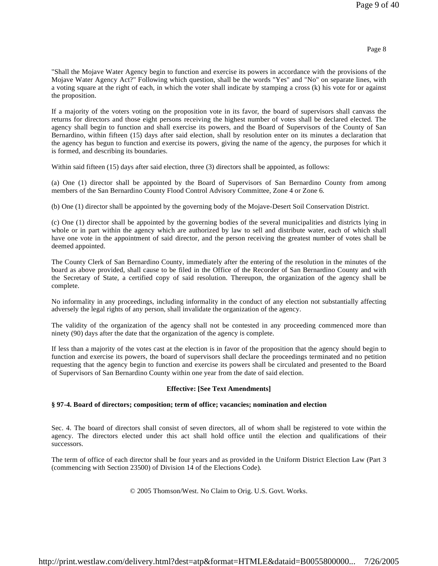"Shall the Mojave Water Agency begin to function and exercise its powers in accordance with the provisions of the Mojave Water Agency Act?" Following which question, shall be the words "Yes" and "No" on separate lines, with a voting square at the right of each, in which the voter shall indicate by stamping a cross (k) his vote for or against the proposition.

If a majority of the voters voting on the proposition vote in its favor, the board of supervisors shall canvass the returns for directors and those eight persons receiving the highest number of votes shall be declared elected. The agency shall begin to function and shall exercise its powers, and the Board of Supervisors of the County of San Bernardino, within fifteen (15) days after said election, shall by resolution enter on its minutes a declaration that the agency has begun to function and exercise its powers, giving the name of the agency, the purposes for which it is formed, and describing its boundaries.

Within said fifteen (15) days after said election, three (3) directors shall be appointed, as follows:

(a) One (1) director shall be appointed by the Board of Supervisors of San Bernardino County from among members of the San Bernardino County Flood Control Advisory Committee, Zone 4 or Zone 6.

(b) One (1) director shall be appointed by the governing body of the Mojave-Desert Soil Conservation District.

(c) One (1) director shall be appointed by the governing bodies of the several municipalities and districts lying in whole or in part within the agency which are authorized by law to sell and distribute water, each of which shall have one vote in the appointment of said director, and the person receiving the greatest number of votes shall be deemed appointed.

The County Clerk of San Bernardino County, immediately after the entering of the resolution in the minutes of the board as above provided, shall cause to be filed in the Office of the Recorder of San Bernardino County and with the Secretary of State, a certified copy of said resolution. Thereupon, the organization of the agency shall be complete.

No informality in any proceedings, including informality in the conduct of any election not substantially affecting adversely the legal rights of any person, shall invalidate the organization of the agency.

The validity of the organization of the agency shall not be contested in any proceeding commenced more than ninety (90) days after the date that the organization of the agency is complete.

If less than a majority of the votes cast at the election is in favor of the proposition that the agency should begin to function and exercise its powers, the board of supervisors shall declare the proceedings terminated and no petition requesting that the agency begin to function and exercise its powers shall be circulated and presented to the Board of Supervisors of San Bernardino County within one year from the date of said election.

# **Effective: [See Text Amendments]**

# **§ 97-4. Board of directors; composition; term of office; vacancies; nomination and election**

Sec. 4. The board of directors shall consist of seven directors, all of whom shall be registered to vote within the agency. The directors elected under this act shall hold office until the election and qualifications of their successors.

The term of office of each director shall be four years and as provided in the Uniform District Election Law (Part 3 (commencing with Section 23500) of Division 14 of the Elections Code).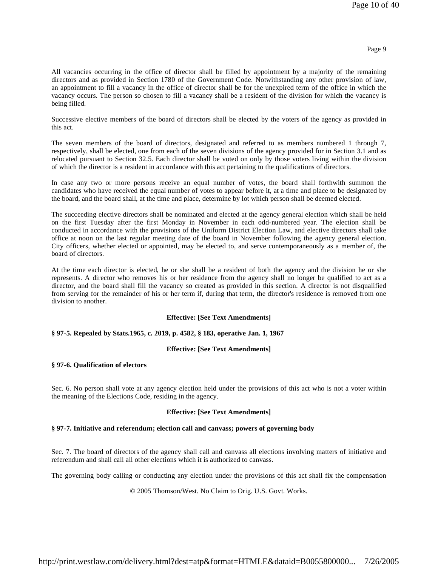All vacancies occurring in the office of director shall be filled by appointment by a majority of the remaining directors and as provided in Section 1780 of the Government Code. Notwithstanding any other provision of law, an appointment to fill a vacancy in the office of director shall be for the unexpired term of the office in which the vacancy occurs. The person so chosen to fill a vacancy shall be a resident of the division for which the vacancy is being filled.

Successive elective members of the board of directors shall be elected by the voters of the agency as provided in this act.

The seven members of the board of directors, designated and referred to as members numbered 1 through 7, respectively, shall be elected, one from each of the seven divisions of the agency provided for in Section 3.1 and as relocated pursuant to Section 32.5. Each director shall be voted on only by those voters living within the division of which the director is a resident in accordance with this act pertaining to the qualifications of directors.

In case any two or more persons receive an equal number of votes, the board shall forthwith summon the candidates who have received the equal number of votes to appear before it, at a time and place to be designated by the board, and the board shall, at the time and place, determine by lot which person shall be deemed elected.

The succeeding elective directors shall be nominated and elected at the agency general election which shall be held on the first Tuesday after the first Monday in November in each odd-numbered year. The election shall be conducted in accordance with the provisions of the Uniform District Election Law, and elective directors shall take office at noon on the last regular meeting date of the board in November following the agency general election. City officers, whether elected or appointed, may be elected to, and serve contemporaneously as a member of, the board of directors.

At the time each director is elected, he or she shall be a resident of both the agency and the division he or she represents. A director who removes his or her residence from the agency shall no longer be qualified to act as a director, and the board shall fill the vacancy so created as provided in this section. A director is not disqualified from serving for the remainder of his or her term if, during that term, the director's residence is removed from one division to another.

# **Effective: [See Text Amendments]**

# **§ 97-5. Repealed by Stats.1965, c. 2019, p. 4582, § 183, operative Jan. 1, 1967**

# **Effective: [See Text Amendments]**

# **§ 97-6. Qualification of electors**

Sec. 6. No person shall vote at any agency election held under the provisions of this act who is not a voter within the meaning of the Elections Code, residing in the agency.

# **Effective: [See Text Amendments]**

# **§ 97-7. Initiative and referendum; election call and canvass; powers of governing body**

Sec. 7. The board of directors of the agency shall call and canvass all elections involving matters of initiative and referendum and shall call all other elections which it is authorized to canvass.

The governing body calling or conducting any election under the provisions of this act shall fix the compensation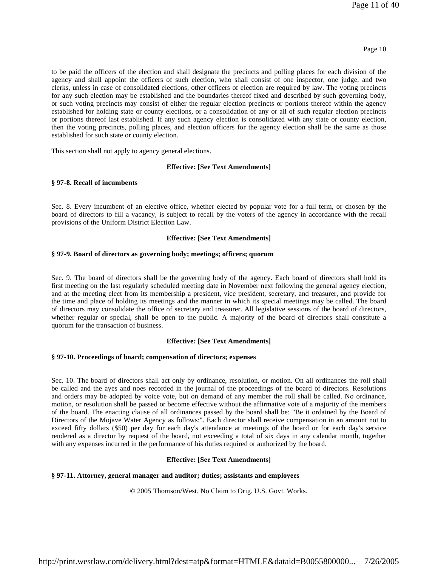### Page 10

to be paid the officers of the election and shall designate the precincts and polling places for each division of the agency and shall appoint the officers of such election, who shall consist of one inspector, one judge, and two clerks, unless in case of consolidated elections, other officers of election are required by law. The voting precincts for any such election may be established and the boundaries thereof fixed and described by such governing body, or such voting precincts may consist of either the regular election precincts or portions thereof within the agency established for holding state or county elections, or a consolidation of any or all of such regular election precincts or portions thereof last established. If any such agency election is consolidated with any state or county election, then the voting precincts, polling places, and election officers for the agency election shall be the same as those established for such state or county election.

This section shall not apply to agency general elections.

### **Effective: [See Text Amendments]**

### **§ 97-8. Recall of incumbents**

Sec. 8. Every incumbent of an elective office, whether elected by popular vote for a full term, or chosen by the board of directors to fill a vacancy, is subject to recall by the voters of the agency in accordance with the recall provisions of the Uniform District Election Law.

### **Effective: [See Text Amendments]**

#### **§ 97-9. Board of directors as governing body; meetings; officers; quorum**

Sec. 9. The board of directors shall be the governing body of the agency. Each board of directors shall hold its first meeting on the last regularly scheduled meeting date in November next following the general agency election, and at the meeting elect from its membership a president, vice president, secretary, and treasurer, and provide for the time and place of holding its meetings and the manner in which its special meetings may be called. The board of directors may consolidate the office of secretary and treasurer. All legislative sessions of the board of directors, whether regular or special, shall be open to the public. A majority of the board of directors shall constitute a quorum for the transaction of business.

# **Effective: [See Text Amendments]**

### **§ 97-10. Proceedings of board; compensation of directors; expenses**

Sec. 10. The board of directors shall act only by ordinance, resolution, or motion. On all ordinances the roll shall be called and the ayes and noes recorded in the journal of the proceedings of the board of directors. Resolutions and orders may be adopted by voice vote, but on demand of any member the roll shall be called. No ordinance, motion, or resolution shall be passed or become effective without the affirmative vote of a majority of the members of the board. The enacting clause of all ordinances passed by the board shall be: "Be it ordained by the Board of Directors of the Mojave Water Agency as follows:". Each director shall receive compensation in an amount not to exceed fifty dollars (\$50) per day for each day's attendance at meetings of the board or for each day's service rendered as a director by request of the board, not exceeding a total of six days in any calendar month, together with any expenses incurred in the performance of his duties required or authorized by the board.

# **Effective: [See Text Amendments]**

# **§ 97-11. Attorney, general manager and auditor; duties; assistants and employees**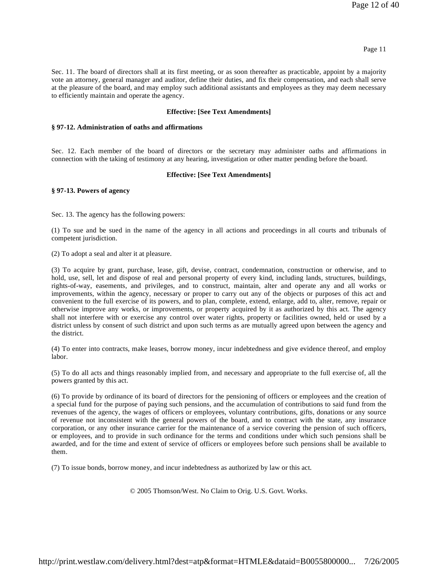Sec. 11. The board of directors shall at its first meeting, or as soon thereafter as practicable, appoint by a majority vote an attorney, general manager and auditor, define their duties, and fix their compensation, and each shall serve at the pleasure of the board, and may employ such additional assistants and employees as they may deem necessary to efficiently maintain and operate the agency.

# **Effective: [See Text Amendments]**

# **§ 97-12. Administration of oaths and affirmations**

Sec. 12. Each member of the board of directors or the secretary may administer oaths and affirmations in connection with the taking of testimony at any hearing, investigation or other matter pending before the board.

# **Effective: [See Text Amendments]**

# **§ 97-13. Powers of agency**

Sec. 13. The agency has the following powers:

(1) To sue and be sued in the name of the agency in all actions and proceedings in all courts and tribunals of competent jurisdiction.

(2) To adopt a seal and alter it at pleasure.

(3) To acquire by grant, purchase, lease, gift, devise, contract, condemnation, construction or otherwise, and to hold, use, sell, let and dispose of real and personal property of every kind, including lands, structures, buildings, rights-of-way, easements, and privileges, and to construct, maintain, alter and operate any and all works or improvements, within the agency, necessary or proper to carry out any of the objects or purposes of this act and convenient to the full exercise of its powers, and to plan, complete, extend, enlarge, add to, alter, remove, repair or otherwise improve any works, or improvements, or property acquired by it as authorized by this act. The agency shall not interfere with or exercise any control over water rights, property or facilities owned, held or used by a district unless by consent of such district and upon such terms as are mutually agreed upon between the agency and the district.

(4) To enter into contracts, make leases, borrow money, incur indebtedness and give evidence thereof, and employ labor.

(5) To do all acts and things reasonably implied from, and necessary and appropriate to the full exercise of, all the powers granted by this act.

(6) To provide by ordinance of its board of directors for the pensioning of officers or employees and the creation of a special fund for the purpose of paying such pensions, and the accumulation of contributions to said fund from the revenues of the agency, the wages of officers or employees, voluntary contributions, gifts, donations or any source of revenue not inconsistent with the general powers of the board, and to contract with the state, any insurance corporation, or any other insurance carrier for the maintenance of a service covering the pension of such officers, or employees, and to provide in such ordinance for the terms and conditions under which such pensions shall be awarded, and for the time and extent of service of officers or employees before such pensions shall be available to them.

(7) To issue bonds, borrow money, and incur indebtedness as authorized by law or this act.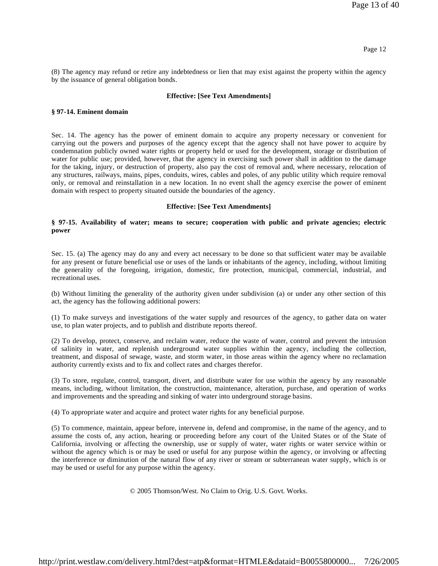(8) The agency may refund or retire any indebtedness or lien that may exist against the property within the agency by the issuance of general obligation bonds.

#### **Effective: [See Text Amendments]**

### **§ 97-14. Eminent domain**

Sec. 14. The agency has the power of eminent domain to acquire any property necessary or convenient for carrying out the powers and purposes of the agency except that the agency shall not have power to acquire by condemnation publicly owned water rights or property held or used for the development, storage or distribution of water for public use; provided, however, that the agency in exercising such power shall in addition to the damage for the taking, injury, or destruction of property, also pay the cost of removal and, where necessary, relocation of any structures, railways, mains, pipes, conduits, wires, cables and poles, of any public utility which require removal only, or removal and reinstallation in a new location. In no event shall the agency exercise the power of eminent domain with respect to property situated outside the boundaries of the agency.

### **Effective: [See Text Amendments]**

# **§ 97-15. Availability of water; means to secure; cooperation with public and private agencies; electric power**

Sec. 15. (a) The agency may do any and every act necessary to be done so that sufficient water may be available for any present or future beneficial use or uses of the lands or inhabitants of the agency, including, without limiting the generality of the foregoing, irrigation, domestic, fire protection, municipal, commercial, industrial, and recreational uses.

(b) Without limiting the generality of the authority given under subdivision (a) or under any other section of this act, the agency has the following additional powers:

(1) To make surveys and investigations of the water supply and resources of the agency, to gather data on water use, to plan water projects, and to publish and distribute reports thereof.

(2) To develop, protect, conserve, and reclaim water, reduce the waste of water, control and prevent the intrusion of salinity in water, and replenish underground water supplies within the agency, including the collection, treatment, and disposal of sewage, waste, and storm water, in those areas within the agency where no reclamation authority currently exists and to fix and collect rates and charges therefor.

(3) To store, regulate, control, transport, divert, and distribute water for use within the agency by any reasonable means, including, without limitation, the construction, maintenance, alteration, purchase, and operation of works and improvements and the spreading and sinking of water into underground storage basins.

(4) To appropriate water and acquire and protect water rights for any beneficial purpose.

(5) To commence, maintain, appear before, intervene in, defend and compromise, in the name of the agency, and to assume the costs of, any action, hearing or proceeding before any court of the United States or of the State of California, involving or affecting the ownership, use or supply of water, water rights or water service within or without the agency which is or may be used or useful for any purpose within the agency, or involving or affecting the interference or diminution of the natural flow of any river or stream or subterranean water supply, which is or may be used or useful for any purpose within the agency.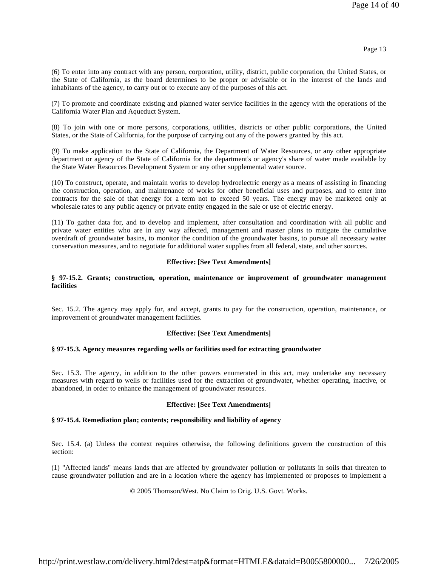(6) To enter into any contract with any person, corporation, utility, district, public corporation, the United States, or the State of California, as the board determines to be proper or advisable or in the interest of the lands and inhabitants of the agency, to carry out or to execute any of the purposes of this act.

(7) To promote and coordinate existing and planned water service facilities in the agency with the operations of the California Water Plan and Aqueduct System.

(8) To join with one or more persons, corporations, utilities, districts or other public corporations, the United States, or the State of California, for the purpose of carrying out any of the powers granted by this act.

(9) To make application to the State of California, the Department of Water Resources, or any other appropriate department or agency of the State of California for the department's or agency's share of water made available by the State Water Resources Development System or any other supplemental water source.

(10) To construct, operate, and maintain works to develop hydroelectric energy as a means of assisting in financing the construction, operation, and maintenance of works for other beneficial uses and purposes, and to enter into contracts for the sale of that energy for a term not to exceed 50 years. The energy may be marketed only at wholesale rates to any public agency or private entity engaged in the sale or use of electric energy.

(11) To gather data for, and to develop and implement, after consultation and coordination with all public and private water entities who are in any way affected, management and master plans to mitigate the cumulative overdraft of groundwater basins, to monitor the condition of the groundwater basins, to pursue all necessary water conservation measures, and to negotiate for additional water supplies from all federal, state, and other sources.

### **Effective: [See Text Amendments]**

### **§ 97-15.2. Grants; construction, operation, maintenance or improvement of groundwater management facilities**

Sec. 15.2. The agency may apply for, and accept, grants to pay for the construction, operation, maintenance, or improvement of groundwater management facilities.

# **Effective: [See Text Amendments]**

# **§ 97-15.3. Agency measures regarding wells or facilities used for extracting groundwater**

Sec. 15.3. The agency, in addition to the other powers enumerated in this act, may undertake any necessary measures with regard to wells or facilities used for the extraction of groundwater, whether operating, inactive, or abandoned, in order to enhance the management of groundwater resources.

# **Effective: [See Text Amendments]**

# **§ 97-15.4. Remediation plan; contents; responsibility and liability of agency**

Sec. 15.4. (a) Unless the context requires otherwise, the following definitions govern the construction of this section:

(1) "Affected lands" means lands that are affected by groundwater pollution or pollutants in soils that threaten to cause groundwater pollution and are in a location where the agency has implemented or proposes to implement a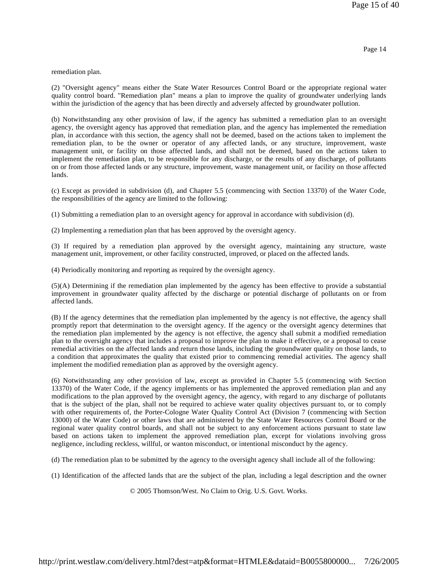remediation plan.

(2) "Oversight agency" means either the State Water Resources Control Board or the appropriate regional water quality control board. "Remediation plan" means a plan to improve the quality of groundwater underlying lands within the jurisdiction of the agency that has been directly and adversely affected by groundwater pollution.

(b) Notwithstanding any other provision of law, if the agency has submitted a remediation plan to an oversight agency, the oversight agency has approved that remediation plan, and the agency has implemented the remediation plan, in accordance with this section, the agency shall not be deemed, based on the actions taken to implement the remediation plan, to be the owner or operator of any affected lands, or any structure, improvement, waste management unit, or facility on those affected lands, and shall not be deemed, based on the actions taken to implement the remediation plan, to be responsible for any discharge, or the results of any discharge, of pollutants on or from those affected lands or any structure, improvement, waste management unit, or facility on those affected lands.

(c) Except as provided in subdivision (d), and Chapter 5.5 (commencing with Section 13370) of the Water Code, the responsibilities of the agency are limited to the following:

(1) Submitting a remediation plan to an oversight agency for approval in accordance with subdivision (d).

(2) Implementing a remediation plan that has been approved by the oversight agency.

(3) If required by a remediation plan approved by the oversight agency, maintaining any structure, waste management unit, improvement, or other facility constructed, improved, or placed on the affected lands.

(4) Periodically monitoring and reporting as required by the oversight agency.

(5)(A) Determining if the remediation plan implemented by the agency has been effective to provide a substantial improvement in groundwater quality affected by the discharge or potential discharge of pollutants on or from affected lands.

(B) If the agency determines that the remediation plan implemented by the agency is not effective, the agency shall promptly report that determination to the oversight agency. If the agency or the oversight agency determines that the remediation plan implemented by the agency is not effective, the agency shall submit a modified remediation plan to the oversight agency that includes a proposal to improve the plan to make it effective, or a proposal to cease remedial activities on the affected lands and return those lands, including the groundwater quality on those lands, to a condition that approximates the quality that existed prior to commencing remedial activities. The agency shall implement the modified remediation plan as approved by the oversight agency.

(6) Notwithstanding any other provision of law, except as provided in Chapter 5.5 (commencing with Section 13370) of the Water Code, if the agency implements or has implemented the approved remediation plan and any modifications to the plan approved by the oversight agency, the agency, with regard to any discharge of pollutants that is the subject of the plan, shall not be required to achieve water quality objectives pursuant to, or to comply with other requirements of, the Porter-Cologne Water Quality Control Act (Division 7 (commencing with Section 13000) of the Water Code) or other laws that are administered by the State Water Resources Control Board or the regional water quality control boards, and shall not be subject to any enforcement actions pursuant to state law based on actions taken to implement the approved remediation plan, except for violations involving gross negligence, including reckless, willful, or wanton misconduct, or intentional misconduct by the agency.

(d) The remediation plan to be submitted by the agency to the oversight agency shall include all of the following:

(1) Identification of the affected lands that are the subject of the plan, including a legal description and the owner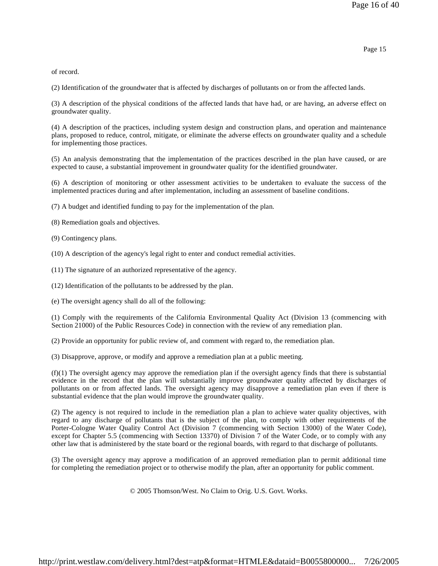of record.

(2) Identification of the groundwater that is affected by discharges of pollutants on or from the affected lands.

(3) A description of the physical conditions of the affected lands that have had, or are having, an adverse effect on groundwater quality.

(4) A description of the practices, including system design and construction plans, and operation and maintenance plans, proposed to reduce, control, mitigate, or eliminate the adverse effects on groundwater quality and a schedule for implementing those practices.

(5) An analysis demonstrating that the implementation of the practices described in the plan have caused, or are expected to cause, a substantial improvement in groundwater quality for the identified groundwater.

(6) A description of monitoring or other assessment activities to be undertaken to evaluate the success of the implemented practices during and after implementation, including an assessment of baseline conditions.

(7) A budget and identified funding to pay for the implementation of the plan.

(8) Remediation goals and objectives.

(9) Contingency plans.

(10) A description of the agency's legal right to enter and conduct remedial activities.

(11) The signature of an authorized representative of the agency.

(12) Identification of the pollutants to be addressed by the plan.

(e) The oversight agency shall do all of the following:

(1) Comply with the requirements of the California Environmental Quality Act (Division 13 (commencing with Section 21000) of the Public Resources Code) in connection with the review of any remediation plan.

(2) Provide an opportunity for public review of, and comment with regard to, the remediation plan.

(3) Disapprove, approve, or modify and approve a remediation plan at a public meeting.

 $(f)(1)$  The oversight agency may approve the remediation plan if the oversight agency finds that there is substantial evidence in the record that the plan will substantially improve groundwater quality affected by discharges of pollutants on or from affected lands. The oversight agency may disapprove a remediation plan even if there is substantial evidence that the plan would improve the groundwater quality.

(2) The agency is not required to include in the remediation plan a plan to achieve water quality objectives, with regard to any discharge of pollutants that is the subject of the plan, to comply with other requirements of the Porter-Cologne Water Quality Control Act (Division 7 (commencing with Section 13000) of the Water Code), except for Chapter 5.5 (commencing with Section 13370) of Division 7 of the Water Code, or to comply with any other law that is administered by the state board or the regional boards, with regard to that discharge of pollutants.

(3) The oversight agency may approve a modification of an approved remediation plan to permit additional time for completing the remediation project or to otherwise modify the plan, after an opportunity for public comment.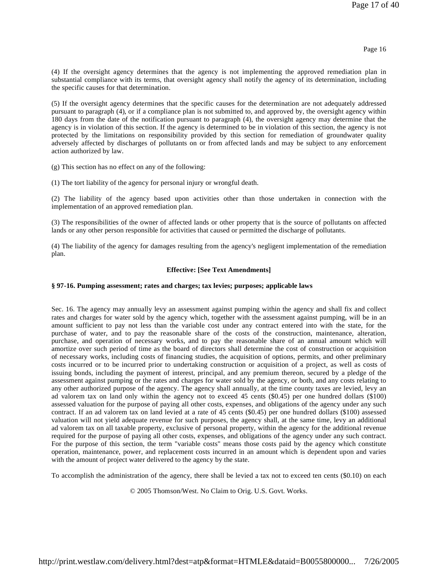(4) If the oversight agency determines that the agency is not implementing the approved remediation plan in substantial compliance with its terms, that oversight agency shall notify the agency of its determination, including the specific causes for that determination.

(5) If the oversight agency determines that the specific causes for the determination are not adequately addressed pursuant to paragraph (4), or if a compliance plan is not submitted to, and approved by, the oversight agency within 180 days from the date of the notification pursuant to paragraph (4), the oversight agency may determine that the agency is in violation of this section. If the agency is determined to be in violation of this section, the agency is not protected by the limitations on responsibility provided by this section for remediation of groundwater quality adversely affected by discharges of pollutants on or from affected lands and may be subject to any enforcement action authorized by law.

(g) This section has no effect on any of the following:

(1) The tort liability of the agency for personal injury or wrongful death.

(2) The liability of the agency based upon activities other than those undertaken in connection with the implementation of an approved remediation plan.

(3) The responsibilities of the owner of affected lands or other property that is the source of pollutants on affected lands or any other person responsible for activities that caused or permitted the discharge of pollutants.

(4) The liability of the agency for damages resulting from the agency's negligent implementation of the remediation plan.

### **Effective: [See Text Amendments]**

### **§ 97-16. Pumping assessment; rates and charges; tax levies; purposes; applicable laws**

Sec. 16. The agency may annually levy an assessment against pumping within the agency and shall fix and collect rates and charges for water sold by the agency which, together with the assessment against pumping, will be in an amount sufficient to pay not less than the variable cost under any contract entered into with the state, for the purchase of water, and to pay the reasonable share of the costs of the construction, maintenance, alteration, purchase, and operation of necessary works, and to pay the reasonable share of an annual amount which will amortize over such period of time as the board of directors shall determine the cost of construction or acquisition of necessary works, including costs of financing studies, the acquisition of options, permits, and other preliminary costs incurred or to be incurred prior to undertaking construction or acquisition of a project, as well as costs of issuing bonds, including the payment of interest, principal, and any premium thereon, secured by a pledge of the assessment against pumping or the rates and charges for water sold by the agency, or both, and any costs relating to any other authorized purpose of the agency. The agency shall annually, at the time county taxes are levied, levy an ad valorem tax on land only within the agency not to exceed 45 cents (\$0.45) per one hundred dollars (\$100) assessed valuation for the purpose of paying all other costs, expenses, and obligations of the agency under any such contract. If an ad valorem tax on land levied at a rate of 45 cents (\$0.45) per one hundred dollars (\$100) assessed valuation will not yield adequate revenue for such purposes, the agency shall, at the same time, levy an additional ad valorem tax on all taxable property, exclusive of personal property, within the agency for the additional revenue required for the purpose of paying all other costs, expenses, and obligations of the agency under any such contract. For the purpose of this section, the term "variable costs" means those costs paid by the agency which constitute operation, maintenance, power, and replacement costs incurred in an amount which is dependent upon and varies with the amount of project water delivered to the agency by the state.

To accomplish the administration of the agency, there shall be levied a tax not to exceed ten cents (\$0.10) on each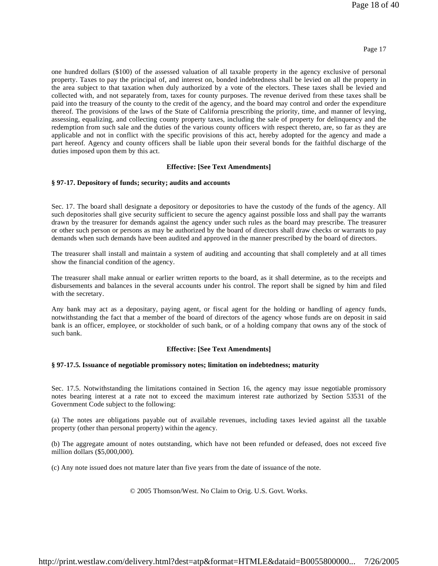one hundred dollars (\$100) of the assessed valuation of all taxable property in the agency exclusive of personal property. Taxes to pay the principal of, and interest on, bonded indebtedness shall be levied on all the property in the area subject to that taxation when duly authorized by a vote of the electors. These taxes shall be levied and collected with, and not separately from, taxes for county purposes. The revenue derived from these taxes shall be paid into the treasury of the county to the credit of the agency, and the board may control and order the expenditure thereof. The provisions of the laws of the State of California prescribing the priority, time, and manner of levying, assessing, equalizing, and collecting county property taxes, including the sale of property for delinquency and the redemption from such sale and the duties of the various county officers with respect thereto, are, so far as they are applicable and not in conflict with the specific provisions of this act, hereby adopted for the agency and made a part hereof. Agency and county officers shall be liable upon their several bonds for the faithful discharge of the duties imposed upon them by this act.

### **Effective: [See Text Amendments]**

### **§ 97-17. Depository of funds; security; audits and accounts**

Sec. 17. The board shall designate a depository or depositories to have the custody of the funds of the agency. All such depositories shall give security sufficient to secure the agency against possible loss and shall pay the warrants drawn by the treasurer for demands against the agency under such rules as the board may prescribe. The treasurer or other such person or persons as may be authorized by the board of directors shall draw checks or warrants to pay demands when such demands have been audited and approved in the manner prescribed by the board of directors.

The treasurer shall install and maintain a system of auditing and accounting that shall completely and at all times show the financial condition of the agency.

The treasurer shall make annual or earlier written reports to the board, as it shall determine, as to the receipts and disbursements and balances in the several accounts under his control. The report shall be signed by him and filed with the secretary.

Any bank may act as a depositary, paying agent, or fiscal agent for the holding or handling of agency funds, notwithstanding the fact that a member of the board of directors of the agency whose funds are on deposit in said bank is an officer, employee, or stockholder of such bank, or of a holding company that owns any of the stock of such bank.

# **Effective: [See Text Amendments]**

# **§ 97-17.5. Issuance of negotiable promissory notes; limitation on indebtedness; maturity**

Sec. 17.5. Notwithstanding the limitations contained in Section 16, the agency may issue negotiable promissory notes bearing interest at a rate not to exceed the maximum interest rate authorized by Section 53531 of the Government Code subject to the following:

(a) The notes are obligations payable out of available revenues, including taxes levied against all the taxable property (other than personal property) within the agency.

(b) The aggregate amount of notes outstanding, which have not been refunded or defeased, does not exceed five million dollars (\$5,000,000).

(c) Any note issued does not mature later than five years from the date of issuance of the note.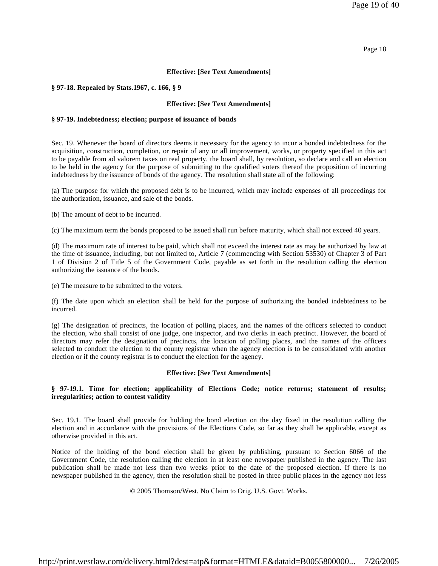### Page 18

### **Effective: [See Text Amendments]**

#### **§ 97-18. Repealed by Stats.1967, c. 166, § 9**

#### **Effective: [See Text Amendments]**

#### **§ 97-19. Indebtedness; election; purpose of issuance of bonds**

Sec. 19. Whenever the board of directors deems it necessary for the agency to incur a bonded indebtedness for the acquisition, construction, completion, or repair of any or all improvement, works, or property specified in this act to be payable from ad valorem taxes on real property, the board shall, by resolution, so declare and call an election to be held in the agency for the purpose of submitting to the qualified voters thereof the proposition of incurring indebtedness by the issuance of bonds of the agency. The resolution shall state all of the following:

(a) The purpose for which the proposed debt is to be incurred, which may include expenses of all proceedings for the authorization, issuance, and sale of the bonds.

(b) The amount of debt to be incurred.

(c) The maximum term the bonds proposed to be issued shall run before maturity, which shall not exceed 40 years.

(d) The maximum rate of interest to be paid, which shall not exceed the interest rate as may be authorized by law at the time of issuance, including, but not limited to, Article 7 (commencing with Section 53530) of Chapter 3 of Part 1 of Division 2 of Title 5 of the Government Code, payable as set forth in the resolution calling the election authorizing the issuance of the bonds.

(e) The measure to be submitted to the voters.

(f) The date upon which an election shall be held for the purpose of authorizing the bonded indebtedness to be incurred.

(g) The designation of precincts, the location of polling places, and the names of the officers selected to conduct the election, who shall consist of one judge, one inspector, and two clerks in each precinct. However, the board of directors may refer the designation of precincts, the location of polling places, and the names of the officers selected to conduct the election to the county registrar when the agency election is to be consolidated with another election or if the county registrar is to conduct the election for the agency.

### **Effective: [See Text Amendments]**

# **§ 97-19.1. Time for election; applicability of Elections Code; notice returns; statement of results; irregularities; action to contest validity**

Sec. 19.1. The board shall provide for holding the bond election on the day fixed in the resolution calling the election and in accordance with the provisions of the Elections Code, so far as they shall be applicable, except as otherwise provided in this act.

Notice of the holding of the bond election shall be given by publishing, pursuant to Section 6066 of the Government Code, the resolution calling the election in at least one newspaper published in the agency. The last publication shall be made not less than two weeks prior to the date of the proposed election. If there is no newspaper published in the agency, then the resolution shall be posted in three public places in the agency not less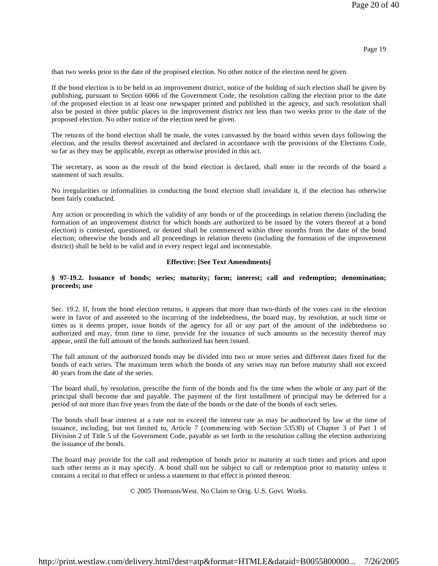than two weeks prior to the date of the proposed election. No other notice of the election need be given.

If the bond election is to be held in an improvement district, notice of the holding of such election shall be given by publishing, pursuant to Section 6066 of the Government Code, the resolution calling the election prior to the date of the proposed election in at least one newspaper printed and published in the agency, and such resolution shall also be posted in three public places in the improvement district not less than two weeks prior to the date of the proposed election. No other notice of the election need be given.

The returns of the bond election shall be made, the votes canvassed by the board within seven days following the election, and the results thereof ascertained and declared in accordance with the provisions of the Elections Code, so far as they may be applicable, except as otherwise provided in this act.

The secretary, as soon as the result of the bond election is declared, shall enter in the records of the board a statement of such results.

No irregularities or informalities in conducting the bond election shall invalidate it, if the election has otherwise been fairly conducted.

Any action or proceeding in which the validity of any bonds or of the proceedings in relation thereto (including the formation of an improvement district for which bonds are authorized to be issued by the voters thereof at a bond election) is contested, questioned, or denied shall be commenced within three months from the date of the bond election; otherwise the bonds and all proceedings in relation thereto (including the formation of the improvement district) shall be held to be valid and in every respect legal and incontestable.

### **Effective: [See Text Amendments]**

# **§ 97-19.2. Issuance of bonds; series; maturity; form; interest; call and redemption; denomination; proceeds; use**

Sec. 19.2. If, from the bond election returns, it appears that more than two-thirds of the votes cast in the election were in favor of and assented to the incurring of the indebtedness, the board may, by resolution, at such time or times as it deems proper, issue bonds of the agency for all or any part of the amount of the indebtedness so authorized and may, from time to time, provide for the issuance of such amounts as the necessity thereof may appear, until the full amount of the bonds authorized has been issued.

The full amount of the authorized bonds may be divided into two or more series and different dates fixed for the bonds of each series. The maximum term which the bonds of any series may run before maturity shall not exceed 40 years from the date of the series.

The board shall, by resolution, prescribe the form of the bonds and fix the time when the whole or any part of the principal shall become due and payable. The payment of the first installment of principal may be deferred for a period of not more than five years from the date of the bonds or the date of the bonds of each series.

The bonds shall bear interest at a rate not to exceed the interest rate as may be authorized by law at the time of issuance, including, but not limited to, Article 7 (commencing with Section 53530) of Chapter 3 of Part 1 of Division 2 of Title 5 of the Government Code, payable as set forth in the resolution calling the election authorizing the issuance of the bonds.

The board may provide for the call and redemption of bonds prior to maturity at such times and prices and upon such other terms as it may specify. A bond shall not be subject to call or redemption prior to maturity unless it contains a recital to that effect or unless a statement to that effect is printed thereon.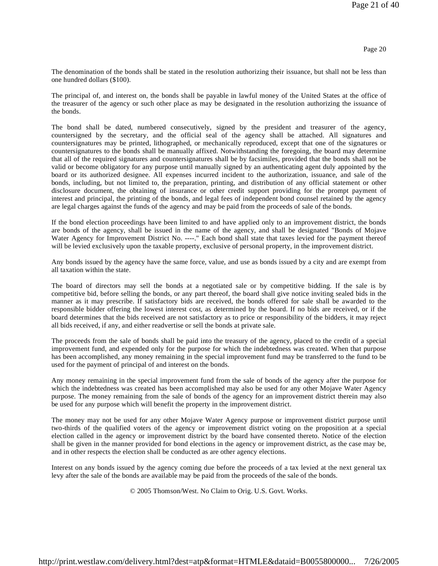The denomination of the bonds shall be stated in the resolution authorizing their issuance, but shall not be less than one hundred dollars (\$100).

The principal of, and interest on, the bonds shall be payable in lawful money of the United States at the office of the treasurer of the agency or such other place as may be designated in the resolution authorizing the issuance of the bonds.

The bond shall be dated, numbered consecutively, signed by the president and treasurer of the agency, countersigned by the secretary, and the official seal of the agency shall be attached. All signatures and countersignatures may be printed, lithographed, or mechanically reproduced, except that one of the signatures or countersignatures to the bonds shall be manually affixed. Notwithstanding the foregoing, the board may determine that all of the required signatures and countersignatures shall be by facsimiles, provided that the bonds shall not be valid or become obligatory for any purpose until manually signed by an authenticating agent duly appointed by the board or its authorized designee. All expenses incurred incident to the authorization, issuance, and sale of the bonds, including, but not limited to, the preparation, printing, and distribution of any official statement or other disclosure document, the obtaining of insurance or other credit support providing for the prompt payment of interest and principal, the printing of the bonds, and legal fees of independent bond counsel retained by the agency are legal charges against the funds of the agency and may be paid from the proceeds of sale of the bonds.

If the bond election proceedings have been limited to and have applied only to an improvement district, the bonds are bonds of the agency, shall be issued in the name of the agency, and shall be designated "Bonds of Mojave Water Agency for Improvement District No. ----." Each bond shall state that taxes levied for the payment thereof will be levied exclusively upon the taxable property, exclusive of personal property, in the improvement district.

Any bonds issued by the agency have the same force, value, and use as bonds issued by a city and are exempt from all taxation within the state.

The board of directors may sell the bonds at a negotiated sale or by competitive bidding. If the sale is by competitive bid, before selling the bonds, or any part thereof, the board shall give notice inviting sealed bids in the manner as it may prescribe. If satisfactory bids are received, the bonds offered for sale shall be awarded to the responsible bidder offering the lowest interest cost, as determined by the board. If no bids are received, or if the board determines that the bids received are not satisfactory as to price or responsibility of the bidders, it may reject all bids received, if any, and either readvertise or sell the bonds at private sale.

The proceeds from the sale of bonds shall be paid into the treasury of the agency, placed to the credit of a special improvement fund, and expended only for the purpose for which the indebtedness was created. When that purpose has been accomplished, any money remaining in the special improvement fund may be transferred to the fund to be used for the payment of principal of and interest on the bonds.

Any money remaining in the special improvement fund from the sale of bonds of the agency after the purpose for which the indebtedness was created has been accomplished may also be used for any other Mojave Water Agency purpose. The money remaining from the sale of bonds of the agency for an improvement district therein may also be used for any purpose which will benefit the property in the improvement district.

The money may not be used for any other Mojave Water Agency purpose or improvement district purpose until two-thirds of the qualified voters of the agency or improvement district voting on the proposition at a special election called in the agency or improvement district by the board have consented thereto. Notice of the election shall be given in the manner provided for bond elections in the agency or improvement district, as the case may be, and in other respects the election shall be conducted as are other agency elections.

Interest on any bonds issued by the agency coming due before the proceeds of a tax levied at the next general tax levy after the sale of the bonds are available may be paid from the proceeds of the sale of the bonds.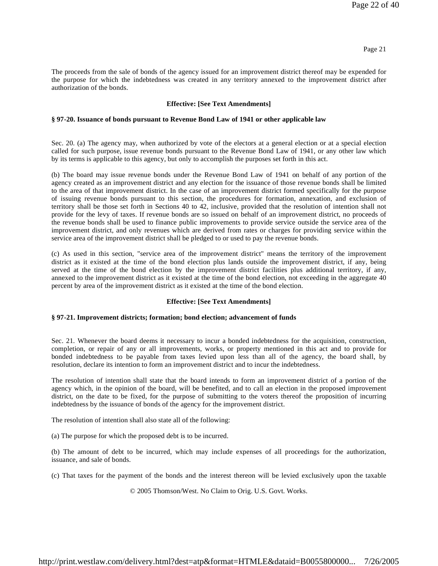The proceeds from the sale of bonds of the agency issued for an improvement district thereof may be expended for the purpose for which the indebtedness was created in any territory annexed to the improvement district after authorization of the bonds.

### **Effective: [See Text Amendments]**

#### **§ 97-20. Issuance of bonds pursuant to Revenue Bond Law of 1941 or other applicable law**

Sec. 20. (a) The agency may, when authorized by vote of the electors at a general election or at a special election called for such purpose, issue revenue bonds pursuant to the Revenue Bond Law of 1941, or any other law which by its terms is applicable to this agency, but only to accomplish the purposes set forth in this act.

(b) The board may issue revenue bonds under the Revenue Bond Law of 1941 on behalf of any portion of the agency created as an improvement district and any election for the issuance of those revenue bonds shall be limited to the area of that improvement district. In the case of an improvement district formed specifically for the purpose of issuing revenue bonds pursuant to this section, the procedures for formation, annexation, and exclusion of territory shall be those set forth in Sections 40 to 42, inclusive, provided that the resolution of intention shall not provide for the levy of taxes. If revenue bonds are so issued on behalf of an improvement district, no proceeds of the revenue bonds shall be used to finance public improvements to provide service outside the service area of the improvement district, and only revenues which are derived from rates or charges for providing service within the service area of the improvement district shall be pledged to or used to pay the revenue bonds.

(c) As used in this section, "service area of the improvement district" means the territory of the improvement district as it existed at the time of the bond election plus lands outside the improvement district, if any, being served at the time of the bond election by the improvement district facilities plus additional territory, if any, annexed to the improvement district as it existed at the time of the bond election, not exceeding in the aggregate 40 percent by area of the improvement district as it existed at the time of the bond election.

#### **Effective: [See Text Amendments]**

#### **§ 97-21. Improvement districts; formation; bond election; advancement of funds**

Sec. 21. Whenever the board deems it necessary to incur a bonded indebtedness for the acquisition, construction, completion, or repair of any or all improvements, works, or property mentioned in this act and to provide for bonded indebtedness to be payable from taxes levied upon less than all of the agency, the board shall, by resolution, declare its intention to form an improvement district and to incur the indebtedness.

The resolution of intention shall state that the board intends to form an improvement district of a portion of the agency which, in the opinion of the board, will be benefited, and to call an election in the proposed improvement district, on the date to be fixed, for the purpose of submitting to the voters thereof the proposition of incurring indebtedness by the issuance of bonds of the agency for the improvement district.

The resolution of intention shall also state all of the following:

(a) The purpose for which the proposed debt is to be incurred.

(b) The amount of debt to be incurred, which may include expenses of all proceedings for the authorization, issuance, and sale of bonds.

(c) That taxes for the payment of the bonds and the interest thereon will be levied exclusively upon the taxable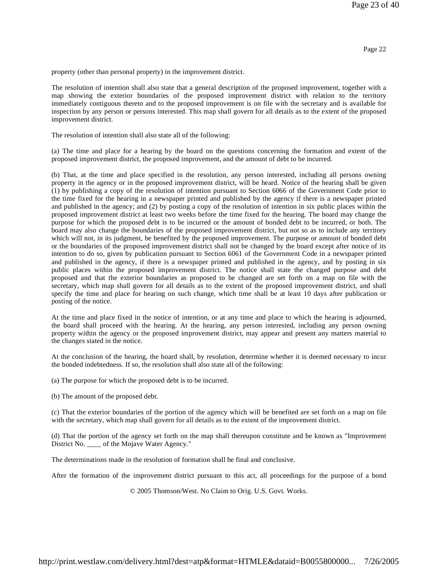property (other than personal property) in the improvement district.

The resolution of intention shall also state that a general description of the proposed improvement, together with a map showing the exterior boundaries of the proposed improvement district with relation to the territory immediately contiguous thereto and to the proposed improvement is on file with the secretary and is available for inspection by any person or persons interested. This map shall govern for all details as to the extent of the proposed improvement district.

The resolution of intention shall also state all of the following:

(a) The time and place for a hearing by the board on the questions concerning the formation and extent of the proposed improvement district, the proposed improvement, and the amount of debt to be incurred.

(b) That, at the time and place specified in the resolution, any person interested, including all persons owning property in the agency or in the proposed improvement district, will be heard. Notice of the hearing shall be given (1) by publishing a copy of the resolution of intention pursuant to Section 6066 of the Government Code prior to the time fixed for the hearing in a newspaper printed and published by the agency if there is a newspaper printed and published in the agency; and (2) by posting a copy of the resolution of intention in six public places within the proposed improvement district at least two weeks before the time fixed for the hearing. The board may change the purpose for which the proposed debt is to be incurred or the amount of bonded debt to be incurred, or both. The board may also change the boundaries of the proposed improvement district, but not so as to include any territory which will not, in its judgment, be benefited by the proposed improvement. The purpose or amount of bonded debt or the boundaries of the proposed improvement district shall not be changed by the board except after notice of its intention to do so, given by publication pursuant to Section 6061 of the Government Code in a newspaper printed and published in the agency, if there is a newspaper printed and published in the agency, and by posting in six public places within the proposed improvement district. The notice shall state the changed purpose and debt proposed and that the exterior boundaries as proposed to be changed are set forth on a map on file with the secretary, which map shall govern for all details as to the extent of the proposed improvement district, and shall specify the time and place for hearing on such change, which time shall be at least 10 days after publication or posting of the notice.

At the time and place fixed in the notice of intention, or at any time and place to which the hearing is adjourned, the board shall proceed with the hearing. At the hearing, any person interested, including any person owning property within the agency or the proposed improvement district, may appear and present any matters material to the changes stated in the notice.

At the conclusion of the hearing, the board shall, by resolution, determine whether it is deemed necessary to incur the bonded indebtedness. If so, the resolution shall also state all of the following:

(a) The purpose for which the proposed debt is to be incurred.

(b) The amount of the proposed debt.

(c) That the exterior boundaries of the portion of the agency which will be benefited are set forth on a map on file with the secretary, which map shall govern for all details as to the extent of the improvement district.

(d) That the portion of the agency set forth on the map shall thereupon constitute and be known as "Improvement District No. \_\_\_\_ of the Mojave Water Agency."

The determinations made in the resolution of formation shall be final and conclusive.

After the formation of the improvement district pursuant to this act, all proceedings for the purpose of a bond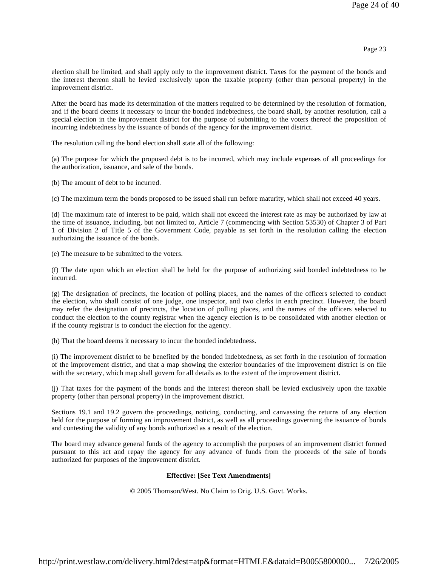election shall be limited, and shall apply only to the improvement district. Taxes for the payment of the bonds and the interest thereon shall be levied exclusively upon the taxable property (other than personal property) in the improvement district.

After the board has made its determination of the matters required to be determined by the resolution of formation, and if the board deems it necessary to incur the bonded indebtedness, the board shall, by another resolution, call a special election in the improvement district for the purpose of submitting to the voters thereof the proposition of incurring indebtedness by the issuance of bonds of the agency for the improvement district.

The resolution calling the bond election shall state all of the following:

(a) The purpose for which the proposed debt is to be incurred, which may include expenses of all proceedings for the authorization, issuance, and sale of the bonds.

(b) The amount of debt to be incurred.

(c) The maximum term the bonds proposed to be issued shall run before maturity, which shall not exceed 40 years.

(d) The maximum rate of interest to be paid, which shall not exceed the interest rate as may be authorized by law at the time of issuance, including, but not limited to, Article 7 (commencing with Section 53530) of Chapter 3 of Part 1 of Division 2 of Title 5 of the Government Code, payable as set forth in the resolution calling the election authorizing the issuance of the bonds.

(e) The measure to be submitted to the voters.

(f) The date upon which an election shall be held for the purpose of authorizing said bonded indebtedness to be incurred.

(g) The designation of precincts, the location of polling places, and the names of the officers selected to conduct the election, who shall consist of one judge, one inspector, and two clerks in each precinct. However, the board may refer the designation of precincts, the location of polling places, and the names of the officers selected to conduct the election to the county registrar when the agency election is to be consolidated with another election or if the county registrar is to conduct the election for the agency.

(h) That the board deems it necessary to incur the bonded indebtedness.

(i) The improvement district to be benefited by the bonded indebtedness, as set forth in the resolution of formation of the improvement district, and that a map showing the exterior boundaries of the improvement district is on file with the secretary, which map shall govern for all details as to the extent of the improvement district.

(j) That taxes for the payment of the bonds and the interest thereon shall be levied exclusively upon the taxable property (other than personal property) in the improvement district.

Sections 19.1 and 19.2 govern the proceedings, noticing, conducting, and canvassing the returns of any election held for the purpose of forming an improvement district, as well as all proceedings governing the issuance of bonds and contesting the validity of any bonds authorized as a result of the election.

The board may advance general funds of the agency to accomplish the purposes of an improvement district formed pursuant to this act and repay the agency for any advance of funds from the proceeds of the sale of bonds authorized for purposes of the improvement district.

# **Effective: [See Text Amendments]**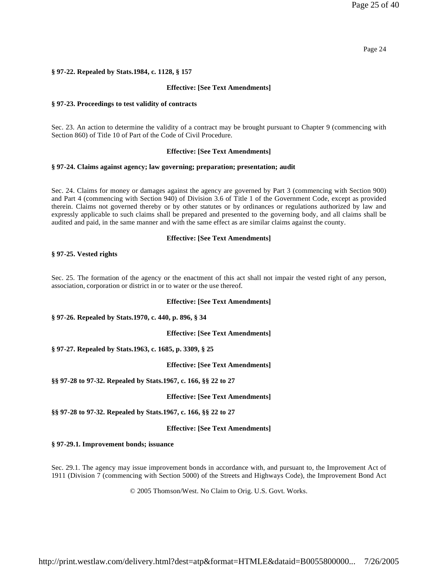### Page 24

### **§ 97-22. Repealed by Stats.1984, c. 1128, § 157**

### **Effective: [See Text Amendments]**

### **§ 97-23. Proceedings to test validity of contracts**

Sec. 23. An action to determine the validity of a contract may be brought pursuant to Chapter 9 (commencing with Section 860) of Title 10 of Part of the Code of Civil Procedure.

### **Effective: [See Text Amendments]**

#### **§ 97-24. Claims against agency; law governing; preparation; presentation; audit**

Sec. 24. Claims for money or damages against the agency are governed by Part 3 (commencing with Section 900) and Part 4 (commencing with Section 940) of Division 3.6 of Title 1 of the Government Code, except as provided therein. Claims not governed thereby or by other statutes or by ordinances or regulations authorized by law and expressly applicable to such claims shall be prepared and presented to the governing body, and all claims shall be audited and paid, in the same manner and with the same effect as are similar claims against the county.

### **Effective: [See Text Amendments]**

### **§ 97-25. Vested rights**

Sec. 25. The formation of the agency or the enactment of this act shall not impair the vested right of any person, association, corporation or district in or to water or the use thereof.

#### **Effective: [See Text Amendments]**

#### **§ 97-26. Repealed by Stats.1970, c. 440, p. 896, § 34**

**Effective: [See Text Amendments]**

**§ 97-27. Repealed by Stats.1963, c. 1685, p. 3309, § 25**

**Effective: [See Text Amendments]**

**§§ 97-28 to 97-32. Repealed by Stats.1967, c. 166, §§ 22 to 27**

**Effective: [See Text Amendments]**

**§§ 97-28 to 97-32. Repealed by Stats.1967, c. 166, §§ 22 to 27**

**Effective: [See Text Amendments]**

**§ 97-29.1. Improvement bonds; issuance**

Sec. 29.1. The agency may issue improvement bonds in accordance with, and pursuant to, the Improvement Act of 1911 (Division 7 (commencing with Section 5000) of the Streets and Highways Code), the Improvement Bond Act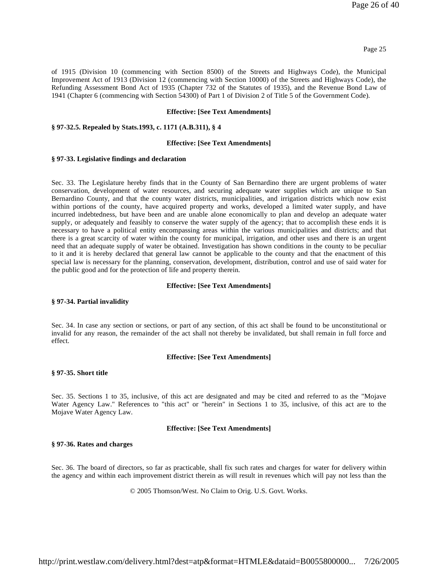of 1915 (Division 10 (commencing with Section 8500) of the Streets and Highways Code), the Municipal Improvement Act of 1913 (Division 12 (commencing with Section 10000) of the Streets and Highways Code), the Refunding Assessment Bond Act of 1935 (Chapter 732 of the Statutes of 1935), and the Revenue Bond Law of 1941 (Chapter 6 (commencing with Section 54300) of Part 1 of Division 2 of Title 5 of the Government Code).

### **Effective: [See Text Amendments]**

#### **§ 97-32.5. Repealed by Stats.1993, c. 1171 (A.B.311), § 4**

#### **Effective: [See Text Amendments]**

#### **§ 97-33. Legislative findings and declaration**

Sec. 33. The Legislature hereby finds that in the County of San Bernardino there are urgent problems of water conservation, development of water resources, and securing adequate water supplies which are unique to San Bernardino County, and that the county water districts, municipalities, and irrigation districts which now exist within portions of the county, have acquired property and works, developed a limited water supply, and have incurred indebtedness, but have been and are unable alone economically to plan and develop an adequate water supply, or adequately and feasibly to conserve the water supply of the agency; that to accomplish these ends it is necessary to have a political entity encompassing areas within the various municipalities and districts; and that there is a great scarcity of water within the county for municipal, irrigation, and other uses and there is an urgent need that an adequate supply of water be obtained. Investigation has shown conditions in the county to be peculiar to it and it is hereby declared that general law cannot be applicable to the county and that the enactment of this special law is necessary for the planning, conservation, development, distribution, control and use of said water for the public good and for the protection of life and property therein.

#### **Effective: [See Text Amendments]**

#### **§ 97-34. Partial invalidity**

Sec. 34. In case any section or sections, or part of any section, of this act shall be found to be unconstitutional or invalid for any reason, the remainder of the act shall not thereby be invalidated, but shall remain in full force and effect.

#### **Effective: [See Text Amendments]**

#### **§ 97-35. Short title**

Sec. 35. Sections 1 to 35, inclusive, of this act are designated and may be cited and referred to as the "Mojave Water Agency Law." References to "this act" or "herein" in Sections 1 to 35, inclusive, of this act are to the Mojave Water Agency Law.

#### **Effective: [See Text Amendments]**

### **§ 97-36. Rates and charges**

Sec. 36. The board of directors, so far as practicable, shall fix such rates and charges for water for delivery within the agency and within each improvement district therein as will result in revenues which will pay not less than the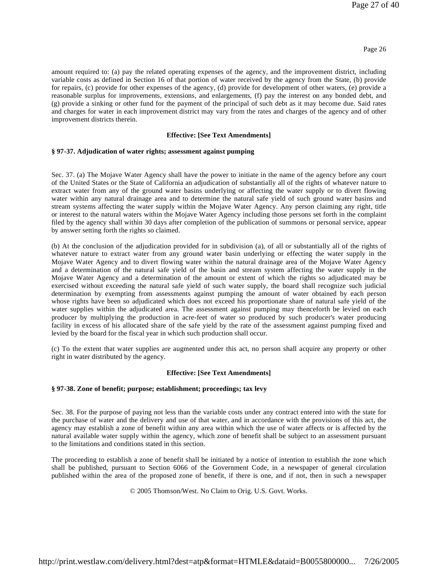amount required to: (a) pay the related operating expenses of the agency, and the improvement district, including variable costs as defined in Section 16 of that portion of water received by the agency from the State, (b) provide for repairs, (c) provide for other expenses of the agency, (d) provide for development of other waters, (e) provide a reasonable surplus for improvements, extensions, and enlargements, (f) pay the interest on any bonded debt, and (g) provide a sinking or other fund for the payment of the principal of such debt as it may become due. Said rates and charges for water in each improvement district may vary from the rates and charges of the agency and of other improvement districts therein.

# **Effective: [See Text Amendments]**

# **§ 97-37. Adjudication of water rights; assessment against pumping**

Sec. 37. (a) The Mojave Water Agency shall have the power to initiate in the name of the agency before any court of the United States or the State of California an adjudication of substantially all of the rights of whatever nature to extract water from any of the ground water basins underlying or affecting the water supply or to divert flowing water within any natural drainage area and to determine the natural safe yield of such ground water basins and stream systems affecting the water supply within the Mojave Water Agency. Any person claiming any right, title or interest to the natural waters within the Mojave Water Agency including those persons set forth in the complaint filed by the agency shall within 30 days after completion of the publication of summons or personal service, appear by answer setting forth the rights so claimed.

(b) At the conclusion of the adjudication provided for in subdivision (a), of all or substantially all of the rights of whatever nature to extract water from any ground water basin underlying or effecting the water supply in the Mojave Water Agency and to divert flowing water within the natural drainage area of the Mojave Water Agency and a determination of the natural safe yield of the basin and stream system affecting the water supply in the Mojave Water Agency and a determination of the amount or extent of which the rights so adjudicated may be exercised without exceeding the natural safe yield of such water supply, the board shall recognize such judicial determination by exempting from assessments against pumping the amount of water obtained by each person whose rights have been so adjudicated which does not exceed his proportionate share of natural safe yield of the water supplies within the adjudicated area. The assessment against pumping may thenceforth be levied on each producer by multiplying the production in acre-feet of water so produced by such producer's water producing facility in excess of his allocated share of the safe yield by the rate of the assessment against pumping fixed and levied by the board for the fiscal year in which such production shall occur.

(c) To the extent that water supplies are augmented under this act, no person shall acquire any property or other right in water distributed by the agency.

# **Effective: [See Text Amendments]**

# **§ 97-38. Zone of benefit; purpose; establishment; proceedings; tax levy**

Sec. 38. For the purpose of paying not less than the variable costs under any contract entered into with the state for the purchase of water and the delivery and use of that water, and in accordance with the provisions of this act, the agency may establish a zone of benefit within any area within which the use of water affects or is affected by the natural available water supply within the agency, which zone of benefit shall be subject to an assessment pursuant to the limitations and conditions stated in this section.

The proceeding to establish a zone of benefit shall be initiated by a notice of intention to establish the zone which shall be published, pursuant to Section 6066 of the Government Code, in a newspaper of general circulation published within the area of the proposed zone of benefit, if there is one, and if not, then in such a newspaper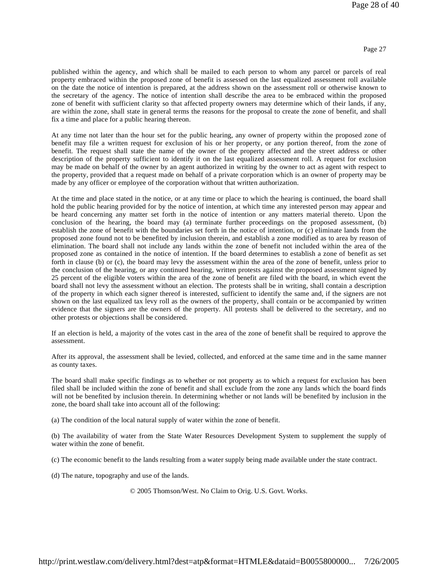published within the agency, and which shall be mailed to each person to whom any parcel or parcels of real property embraced within the proposed zone of benefit is assessed on the last equalized assessment roll available on the date the notice of intention is prepared, at the address shown on the assessment roll or otherwise known to the secretary of the agency. The notice of intention shall describe the area to be embraced within the proposed zone of benefit with sufficient clarity so that affected property owners may determine which of their lands, if any, are within the zone, shall state in general terms the reasons for the proposal to create the zone of benefit, and shall fix a time and place for a public hearing thereon.

At any time not later than the hour set for the public hearing, any owner of property within the proposed zone of benefit may file a written request for exclusion of his or her property, or any portion thereof, from the zone of benefit. The request shall state the name of the owner of the property affected and the street address or other description of the property sufficient to identify it on the last equalized assessment roll. A request for exclusion may be made on behalf of the owner by an agent authorized in writing by the owner to act as agent with respect to the property, provided that a request made on behalf of a private corporation which is an owner of property may be made by any officer or employee of the corporation without that written authorization.

At the time and place stated in the notice, or at any time or place to which the hearing is continued, the board shall hold the public hearing provided for by the notice of intention, at which time any interested person may appear and be heard concerning any matter set forth in the notice of intention or any matters material thereto. Upon the conclusion of the hearing, the board may (a) terminate further proceedings on the proposed assessment, (b) establish the zone of benefit with the boundaries set forth in the notice of intention, or (c) eliminate lands from the proposed zone found not to be benefited by inclusion therein, and establish a zone modified as to area by reason of elimination. The board shall not include any lands within the zone of benefit not included within the area of the proposed zone as contained in the notice of intention. If the board determines to establish a zone of benefit as set forth in clause (b) or (c), the board may levy the assessment within the area of the zone of benefit, unless prior to the conclusion of the hearing, or any continued hearing, written protests against the proposed assessment signed by 25 percent of the eligible voters within the area of the zone of benefit are filed with the board, in which event the board shall not levy the assessment without an election. The protests shall be in writing, shall contain a description of the property in which each signer thereof is interested, sufficient to identify the same and, if the signers are not shown on the last equalized tax levy roll as the owners of the property, shall contain or be accompanied by written evidence that the signers are the owners of the property. All protests shall be delivered to the secretary, and no other protests or objections shall be considered.

If an election is held, a majority of the votes cast in the area of the zone of benefit shall be required to approve the assessment.

After its approval, the assessment shall be levied, collected, and enforced at the same time and in the same manner as county taxes.

The board shall make specific findings as to whether or not property as to which a request for exclusion has been filed shall be included within the zone of benefit and shall exclude from the zone any lands which the board finds will not be benefited by inclusion therein. In determining whether or not lands will be benefited by inclusion in the zone, the board shall take into account all of the following:

(a) The condition of the local natural supply of water within the zone of benefit.

(b) The availability of water from the State Water Resources Development System to supplement the supply of water within the zone of benefit.

(c) The economic benefit to the lands resulting from a water supply being made available under the state contract.

(d) The nature, topography and use of the lands.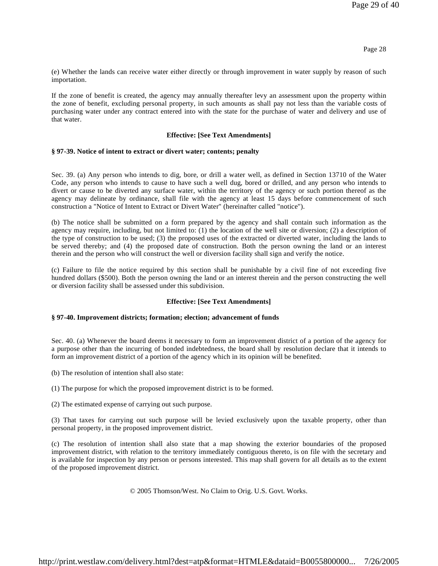(e) Whether the lands can receive water either directly or through improvement in water supply by reason of such importation.

If the zone of benefit is created, the agency may annually thereafter levy an assessment upon the property within the zone of benefit, excluding personal property, in such amounts as shall pay not less than the variable costs of purchasing water under any contract entered into with the state for the purchase of water and delivery and use of that water.

# **Effective: [See Text Amendments]**

# **§ 97-39. Notice of intent to extract or divert water; contents; penalty**

Sec. 39. (a) Any person who intends to dig, bore, or drill a water well, as defined in Section 13710 of the Water Code, any person who intends to cause to have such a well dug, bored or drilled, and any person who intends to divert or cause to be diverted any surface water, within the territory of the agency or such portion thereof as the agency may delineate by ordinance, shall file with the agency at least 15 days before commencement of such construction a "Notice of Intent to Extract or Divert Water" (hereinafter called "notice").

(b) The notice shall be submitted on a form prepared by the agency and shall contain such information as the agency may require, including, but not limited to: (1) the location of the well site or diversion; (2) a description of the type of construction to be used; (3) the proposed uses of the extracted or diverted water, including the lands to be served thereby; and (4) the proposed date of construction. Both the person owning the land or an interest therein and the person who will construct the well or diversion facility shall sign and verify the notice.

(c) Failure to file the notice required by this section shall be punishable by a civil fine of not exceeding five hundred dollars (\$500). Both the person owning the land or an interest therein and the person constructing the well or diversion facility shall be assessed under this subdivision.

# **Effective: [See Text Amendments]**

# **§ 97-40. Improvement districts; formation; election; advancement of funds**

Sec. 40. (a) Whenever the board deems it necessary to form an improvement district of a portion of the agency for a purpose other than the incurring of bonded indebtedness, the board shall by resolution declare that it intends to form an improvement district of a portion of the agency which in its opinion will be benefited.

- (b) The resolution of intention shall also state:
- (1) The purpose for which the proposed improvement district is to be formed.

(2) The estimated expense of carrying out such purpose.

(3) That taxes for carrying out such purpose will be levied exclusively upon the taxable property, other than personal property, in the proposed improvement district.

(c) The resolution of intention shall also state that a map showing the exterior boundaries of the proposed improvement district, with relation to the territory immediately contiguous thereto, is on file with the secretary and is available for inspection by any person or persons interested. This map shall govern for all details as to the extent of the proposed improvement district.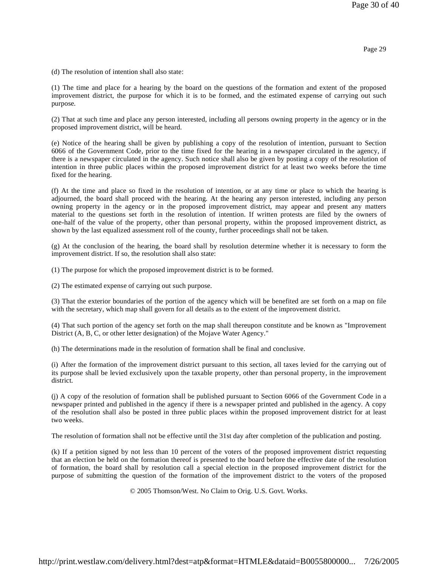(d) The resolution of intention shall also state:

(1) The time and place for a hearing by the board on the questions of the formation and extent of the proposed improvement district, the purpose for which it is to be formed, and the estimated expense of carrying out such purpose.

(2) That at such time and place any person interested, including all persons owning property in the agency or in the proposed improvement district, will be heard.

(e) Notice of the hearing shall be given by publishing a copy of the resolution of intention, pursuant to Section 6066 of the Government Code, prior to the time fixed for the hearing in a newspaper circulated in the agency, if there is a newspaper circulated in the agency. Such notice shall also be given by posting a copy of the resolution of intention in three public places within the proposed improvement district for at least two weeks before the time fixed for the hearing.

(f) At the time and place so fixed in the resolution of intention, or at any time or place to which the hearing is adjourned, the board shall proceed with the hearing. At the hearing any person interested, including any person owning property in the agency or in the proposed improvement district, may appear and present any matters material to the questions set forth in the resolution of intention. If written protests are filed by the owners of one-half of the value of the property, other than personal property, within the proposed improvement district, as shown by the last equalized assessment roll of the county, further proceedings shall not be taken.

(g) At the conclusion of the hearing, the board shall by resolution determine whether it is necessary to form the improvement district. If so, the resolution shall also state:

(1) The purpose for which the proposed improvement district is to be formed.

(2) The estimated expense of carrying out such purpose.

(3) That the exterior boundaries of the portion of the agency which will be benefited are set forth on a map on file with the secretary, which map shall govern for all details as to the extent of the improvement district.

(4) That such portion of the agency set forth on the map shall thereupon constitute and be known as "Improvement District (A, B, C, or other letter designation) of the Mojave Water Agency."

(h) The determinations made in the resolution of formation shall be final and conclusive.

(i) After the formation of the improvement district pursuant to this section, all taxes levied for the carrying out of its purpose shall be levied exclusively upon the taxable property, other than personal property, in the improvement district.

(j) A copy of the resolution of formation shall be published pursuant to Section 6066 of the Government Code in a newspaper printed and published in the agency if there is a newspaper printed and published in the agency. A copy of the resolution shall also be posted in three public places within the proposed improvement district for at least two weeks.

The resolution of formation shall not be effective until the 31st day after completion of the publication and posting.

(k) If a petition signed by not less than 10 percent of the voters of the proposed improvement district requesting that an election be held on the formation thereof is presented to the board before the effective date of the resolution of formation, the board shall by resolution call a special election in the proposed improvement district for the purpose of submitting the question of the formation of the improvement district to the voters of the proposed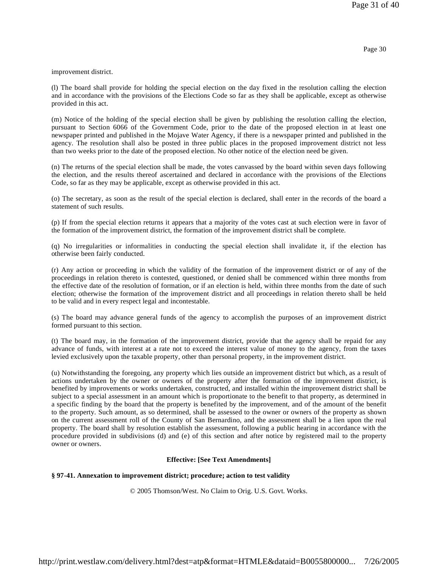improvement district.

(l) The board shall provide for holding the special election on the day fixed in the resolution calling the election and in accordance with the provisions of the Elections Code so far as they shall be applicable, except as otherwise provided in this act.

(m) Notice of the holding of the special election shall be given by publishing the resolution calling the election, pursuant to Section 6066 of the Government Code, prior to the date of the proposed election in at least one newspaper printed and published in the Mojave Water Agency, if there is a newspaper printed and published in the agency. The resolution shall also be posted in three public places in the proposed improvement district not less than two weeks prior to the date of the proposed election. No other notice of the election need be given.

(n) The returns of the special election shall be made, the votes canvassed by the board within seven days following the election, and the results thereof ascertained and declared in accordance with the provisions of the Elections Code, so far as they may be applicable, except as otherwise provided in this act.

(o) The secretary, as soon as the result of the special election is declared, shall enter in the records of the board a statement of such results.

(p) If from the special election returns it appears that a majority of the votes cast at such election were in favor of the formation of the improvement district, the formation of the improvement district shall be complete.

(q) No irregularities or informalities in conducting the special election shall invalidate it, if the election has otherwise been fairly conducted.

(r) Any action or proceeding in which the validity of the formation of the improvement district or of any of the proceedings in relation thereto is contested, questioned, or denied shall be commenced within three months from the effective date of the resolution of formation, or if an election is held, within three months from the date of such election; otherwise the formation of the improvement district and all proceedings in relation thereto shall be held to be valid and in every respect legal and incontestable.

(s) The board may advance general funds of the agency to accomplish the purposes of an improvement district formed pursuant to this section.

(t) The board may, in the formation of the improvement district, provide that the agency shall be repaid for any advance of funds, with interest at a rate not to exceed the interest value of money to the agency, from the taxes levied exclusively upon the taxable property, other than personal property, in the improvement district.

(u) Notwithstanding the foregoing, any property which lies outside an improvement district but which, as a result of actions undertaken by the owner or owners of the property after the formation of the improvement district, is benefited by improvements or works undertaken, constructed, and installed within the improvement district shall be subject to a special assessment in an amount which is proportionate to the benefit to that property, as determined in a specific finding by the board that the property is benefited by the improvement, and of the amount of the benefit to the property. Such amount, as so determined, shall be assessed to the owner or owners of the property as shown on the current assessment roll of the County of San Bernardino, and the assessment shall be a lien upon the real property. The board shall by resolution establish the assessment, following a public hearing in accordance with the procedure provided in subdivisions (d) and (e) of this section and after notice by registered mail to the property owner or owners.

# **Effective: [See Text Amendments]**

# **§ 97-41. Annexation to improvement district; procedure; action to test validity**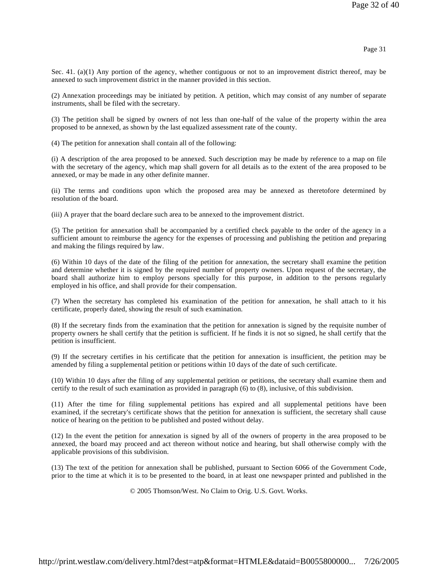Sec. 41. (a)(1) Any portion of the agency, whether contiguous or not to an improvement district thereof, may be annexed to such improvement district in the manner provided in this section.

(2) Annexation proceedings may be initiated by petition. A petition, which may consist of any number of separate instruments, shall be filed with the secretary.

(3) The petition shall be signed by owners of not less than one-half of the value of the property within the area proposed to be annexed, as shown by the last equalized assessment rate of the county.

(4) The petition for annexation shall contain all of the following:

(i) A description of the area proposed to be annexed. Such description may be made by reference to a map on file with the secretary of the agency, which map shall govern for all details as to the extent of the area proposed to be annexed, or may be made in any other definite manner.

(ii) The terms and conditions upon which the proposed area may be annexed as theretofore determined by resolution of the board.

(iii) A prayer that the board declare such area to be annexed to the improvement district.

(5) The petition for annexation shall be accompanied by a certified check payable to the order of the agency in a sufficient amount to reimburse the agency for the expenses of processing and publishing the petition and preparing and making the filings required by law.

(6) Within 10 days of the date of the filing of the petition for annexation, the secretary shall examine the petition and determine whether it is signed by the required number of property owners. Upon request of the secretary, the board shall authorize him to employ persons specially for this purpose, in addition to the persons regularly employed in his office, and shall provide for their compensation.

(7) When the secretary has completed his examination of the petition for annexation, he shall attach to it his certificate, properly dated, showing the result of such examination.

(8) If the secretary finds from the examination that the petition for annexation is signed by the requisite number of property owners he shall certify that the petition is sufficient. If he finds it is not so signed, he shall certify that the petition is insufficient.

(9) If the secretary certifies in his certificate that the petition for annexation is insufficient, the petition may be amended by filing a supplemental petition or petitions within 10 days of the date of such certificate.

(10) Within 10 days after the filing of any supplemental petition or petitions, the secretary shall examine them and certify to the result of such examination as provided in paragraph (6) to (8), inclusive, of this subdivision.

(11) After the time for filing supplemental petitions has expired and all supplemental petitions have been examined, if the secretary's certificate shows that the petition for annexation is sufficient, the secretary shall cause notice of hearing on the petition to be published and posted without delay.

(12) In the event the petition for annexation is signed by all of the owners of property in the area proposed to be annexed, the board may proceed and act thereon without notice and hearing, but shall otherwise comply with the applicable provisions of this subdivision.

(13) The text of the petition for annexation shall be published, pursuant to Section 6066 of the Government Code, prior to the time at which it is to be presented to the board, in at least one newspaper printed and published in the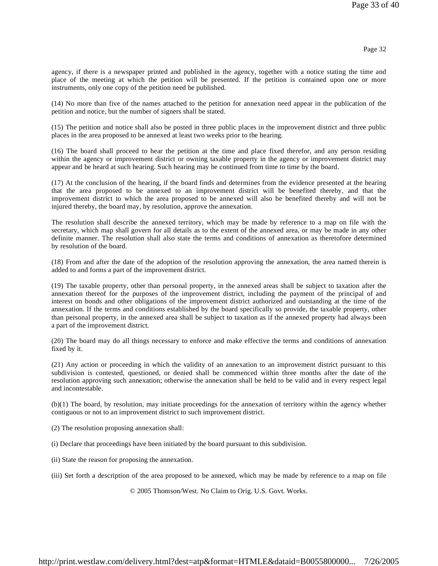agency, if there is a newspaper printed and published in the agency, together with a notice stating the time and place of the meeting at which the petition will be presented. If the petition is contained upon one or more instruments, only one copy of the petition need be published.

(14) No more than five of the names attached to the petition for annexation need appear in the publication of the petition and notice, but the number of signers shall be stated.

(15) The petition and notice shall also be posted in three public places in the improvement district and three public places in the area proposed to be annexed at least two weeks prior to the hearing.

(16) The board shall proceed to hear the petition at the time and place fixed therefor, and any person residing within the agency or improvement district or owning taxable property in the agency or improvement district may appear and be heard at such hearing. Such hearing may be continued from time to time by the board.

(17) At the conclusion of the hearing, if the board finds and determines from the evidence presented at the hearing that the area proposed to be annexed to an improvement district will be benefited thereby, and that the improvement district to which the area proposed to be annexed will also be benefited thereby and will not be injured thereby, the board may, by resolution, approve the annexation.

The resolution shall describe the annexed territory, which may be made by reference to a map on file with the secretary, which map shall govern for all details as to the extent of the annexed area, or may be made in any other definite manner. The resolution shall also state the terms and conditions of annexation as theretofore determined by resolution of the board.

(18) From and after the date of the adoption of the resolution approving the annexation, the area named therein is added to and forms a part of the improvement district.

(19) The taxable property, other than personal property, in the annexed areas shall be subject to taxation after the annexation thereof for the purposes of the improvement district, including the payment of the principal of and interest on bonds and other obligations of the improvement district authorized and outstanding at the time of the annexation. If the terms and conditions established by the board specifically so provide, the taxable property, other than personal property, in the annexed area shall be subject to taxation as if the annexed property had always been a part of the improvement district.

(20) The board may do all things necessary to enforce and make effective the terms and conditions of annexation fixed by it.

(21) Any action or proceeding in which the validity of an annexation to an improvement district pursuant to this subdivision is contested, questioned, or denied shall be commenced within three months after the date of the resolution approving such annexation; otherwise the annexation shall be held to be valid and in every respect legal and incontestable.

(b)(1) The board, by resolution, may initiate proceedings for the annexation of territory within the agency whether contiguous or not to an improvement district to such improvement district.

(2) The resolution proposing annexation shall:

(i) Declare that proceedings have been initiated by the board pursuant to this subdivision.

(ii) State the reason for proposing the annexation.

(iii) Set forth a description of the area proposed to be annexed, which may be made by reference to a map on file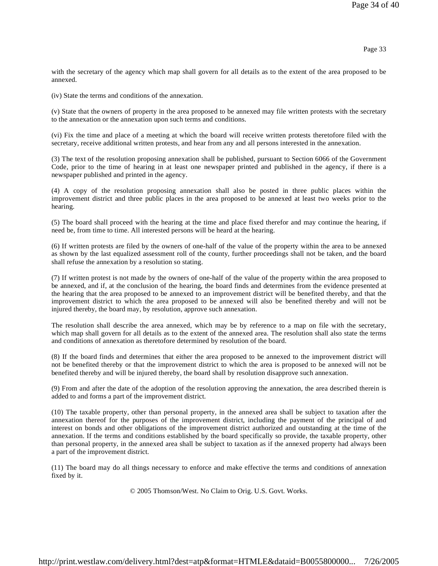with the secretary of the agency which map shall govern for all details as to the extent of the area proposed to be annexed.

(iv) State the terms and conditions of the annexation.

(v) State that the owners of property in the area proposed to be annexed may file written protests with the secretary to the annexation or the annexation upon such terms and conditions.

(vi) Fix the time and place of a meeting at which the board will receive written protests theretofore filed with the secretary, receive additional written protests, and hear from any and all persons interested in the annexation.

(3) The text of the resolution proposing annexation shall be published, pursuant to Section 6066 of the Government Code, prior to the time of hearing in at least one newspaper printed and published in the agency, if there is a newspaper published and printed in the agency.

(4) A copy of the resolution proposing annexation shall also be posted in three public places within the improvement district and three public places in the area proposed to be annexed at least two weeks prior to the hearing.

(5) The board shall proceed with the hearing at the time and place fixed therefor and may continue the hearing, if need be, from time to time. All interested persons will be heard at the hearing.

(6) If written protests are filed by the owners of one-half of the value of the property within the area to be annexed as shown by the last equalized assessment roll of the county, further proceedings shall not be taken, and the board shall refuse the annexation by a resolution so stating.

(7) If written protest is not made by the owners of one-half of the value of the property within the area proposed to be annexed, and if, at the conclusion of the hearing, the board finds and determines from the evidence presented at the hearing that the area proposed to be annexed to an improvement district will be benefited thereby, and that the improvement district to which the area proposed to be annexed will also be benefited thereby and will not be injured thereby, the board may, by resolution, approve such annexation.

The resolution shall describe the area annexed, which may be by reference to a map on file with the secretary, which map shall govern for all details as to the extent of the annexed area. The resolution shall also state the terms and conditions of annexation as theretofore determined by resolution of the board.

(8) If the board finds and determines that either the area proposed to be annexed to the improvement district will not be benefited thereby or that the improvement district to which the area is proposed to be annexed will not be benefited thereby and will be injured thereby, the board shall by resolution disapprove such annexation.

(9) From and after the date of the adoption of the resolution approving the annexation, the area described therein is added to and forms a part of the improvement district.

(10) The taxable property, other than personal property, in the annexed area shall be subject to taxation after the annexation thereof for the purposes of the improvement district, including the payment of the principal of and interest on bonds and other obligations of the improvement district authorized and outstanding at the time of the annexation. If the terms and conditions established by the board specifically so provide, the taxable property, other than personal property, in the annexed area shall be subject to taxation as if the annexed property had always been a part of the improvement district.

(11) The board may do all things necessary to enforce and make effective the terms and conditions of annexation fixed by it.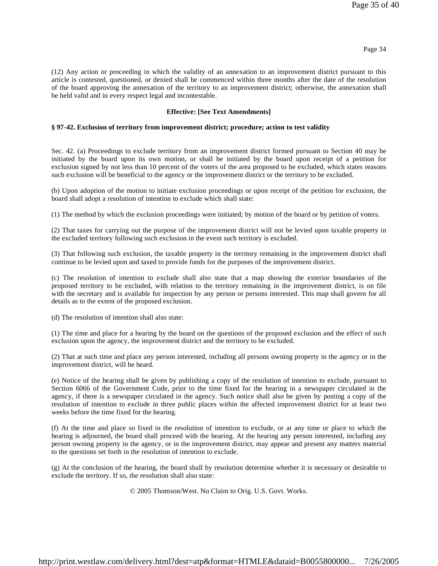Page 34

(12) Any action or proceeding in which the validity of an annexation to an improvement district pursuant to this article is contested, questioned, or denied shall be commenced within three months after the date of the resolution of the board approving the annexation of the territory to an improvement district; otherwise, the annexation shall be held valid and in every respect legal and incontestable.

# **Effective: [See Text Amendments]**

# **§ 97-42. Exclusion of territory from improvement district; procedure; action to test validity**

Sec. 42. (a) Proceedings to exclude territory from an improvement district formed pursuant to Section 40 may be initiated by the board upon its own motion, or shall be initiated by the board upon receipt of a petition for exclusion signed by not less than 10 percent of the voters of the area proposed to be excluded, which states reasons such exclusion will be beneficial to the agency or the improvement district or the territory to be excluded.

(b) Upon adoption of the motion to initiate exclusion proceedings or upon receipt of the petition for exclusion, the board shall adopt a resolution of intention to exclude which shall state:

(1) The method by which the exclusion proceedings were initiated; by motion of the board or by petition of voters.

(2) That taxes for carrying out the purpose of the improvement district will not be levied upon taxable property in the excluded territory following such exclusion in the event such territory is excluded.

(3) That following such exclusion, the taxable property in the territory remaining in the improvement district shall continue to be levied upon and taxed to provide funds for the purposes of the improvement district.

(c) The resolution of intention to exclude shall also state that a map showing the exterior boundaries of the proposed territory to be excluded, with relation to the territory remaining in the improvement district, is on file with the secretary and is available for inspection by any person or persons interested. This map shall govern for all details as to the extent of the proposed exclusion.

(d) The resolution of intention shall also state:

(1) The time and place for a hearing by the board on the questions of the proposed exclusion and the effect of such exclusion upon the agency, the improvement district and the territory to be excluded.

(2) That at such time and place any person interested, including all persons owning property in the agency or in the improvement district, will be heard.

(e) Notice of the hearing shall be given by publishing a copy of the resolution of intention to exclude, pursuant to Section 6066 of the Government Code, prior to the time fixed for the hearing in a newspaper circulated in the agency, if there is a newspaper circulated in the agency. Such notice shall also be given by posting a copy of the resolution of intention to exclude in three public places within the affected improvement district for at least two weeks before the time fixed for the hearing.

(f) At the time and place so fixed in the resolution of intention to exclude, or at any time or place to which the hearing is adjourned, the board shall proceed with the hearing. At the hearing any person interested, including any person owning property in the agency, or in the improvement district, may appear and present any matters material to the questions set forth in the resolution of intention to exclude.

(g) At the conclusion of the hearing, the board shall by resolution determine whether it is necessary or desirable to exclude the territory. If so, the resolution shall also state: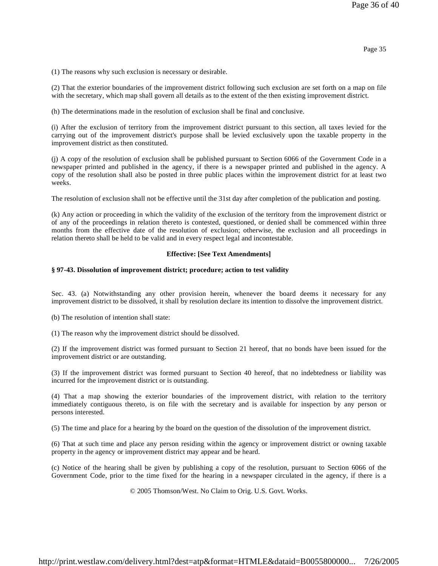(1) The reasons why such exclusion is necessary or desirable.

(2) That the exterior boundaries of the improvement district following such exclusion are set forth on a map on file with the secretary, which map shall govern all details as to the extent of the then existing improvement district.

(h) The determinations made in the resolution of exclusion shall be final and conclusive.

(i) After the exclusion of territory from the improvement district pursuant to this section, all taxes levied for the carrying out of the improvement district's purpose shall be levied exclusively upon the taxable property in the improvement district as then constituted.

(j) A copy of the resolution of exclusion shall be published pursuant to Section 6066 of the Government Code in a newspaper printed and published in the agency, if there is a newspaper printed and published in the agency. A copy of the resolution shall also be posted in three public places within the improvement district for at least two weeks.

The resolution of exclusion shall not be effective until the 31st day after completion of the publication and posting.

(k) Any action or proceeding in which the validity of the exclusion of the territory from the improvement district or of any of the proceedings in relation thereto is contested, questioned, or denied shall be commenced within three months from the effective date of the resolution of exclusion; otherwise, the exclusion and all proceedings in relation thereto shall be held to be valid and in every respect legal and incontestable.

#### **Effective: [See Text Amendments]**

#### **§ 97-43. Dissolution of improvement district; procedure; action to test validity**

Sec. 43. (a) Notwithstanding any other provision herein, whenever the board deems it necessary for any improvement district to be dissolved, it shall by resolution declare its intention to dissolve the improvement district.

(b) The resolution of intention shall state:

(1) The reason why the improvement district should be dissolved.

(2) If the improvement district was formed pursuant to Section 21 hereof, that no bonds have been issued for the improvement district or are outstanding.

(3) If the improvement district was formed pursuant to Section 40 hereof, that no indebtedness or liability was incurred for the improvement district or is outstanding.

(4) That a map showing the exterior boundaries of the improvement district, with relation to the territory immediately contiguous thereto, is on file with the secretary and is available for inspection by any person or persons interested.

(5) The time and place for a hearing by the board on the question of the dissolution of the improvement district.

(6) That at such time and place any person residing within the agency or improvement district or owning taxable property in the agency or improvement district may appear and be heard.

(c) Notice of the hearing shall be given by publishing a copy of the resolution, pursuant to Section 6066 of the Government Code, prior to the time fixed for the hearing in a newspaper circulated in the agency, if there is a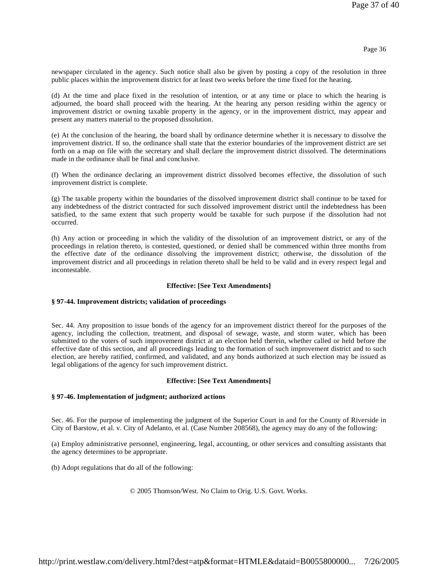newspaper circulated in the agency. Such notice shall also be given by posting a copy of the resolution in three public places within the improvement district for at least two weeks before the time fixed for the hearing.

(d) At the time and place fixed in the resolution of intention, or at any time or place to which the hearing is adjourned, the board shall proceed with the hearing. At the hearing any person residing within the agency or improvement district or owning taxable property in the agency, or in the improvement district, may appear and present any matters material to the proposed dissolution.

(e) At the conclusion of the hearing, the board shall by ordinance determine whether it is necessary to dissolve the improvement district. If so, the ordinance shall state that the exterior boundaries of the improvement district are set forth on a map on file with the secretary and shall declare the improvement district dissolved. The determinations made in the ordinance shall be final and conclusive.

(f) When the ordinance declaring an improvement district dissolved becomes effective, the dissolution of such improvement district is complete.

(g) The taxable property within the boundaries of the dissolved improvement district shall continue to be taxed for any indebtedness of the district contracted for such dissolved improvement district until the indebtedness has been satisfied, to the same extent that such property would be taxable for such purpose if the dissolution had not occurred.

(h) Any action or proceeding in which the validity of the dissolution of an improvement district, or any of the proceedings in relation thereto, is contested, questioned, or denied shall be commenced within three months from the effective date of the ordinance dissolving the improvement district; otherwise, the dissolution of the improvement district and all proceedings in relation thereto shall be held to be valid and in every respect legal and incontestable.

# **Effective: [See Text Amendments]**

# **§ 97-44. Improvement districts; validation of proceedings**

Sec. 44. Any proposition to issue bonds of the agency for an improvement district thereof for the purposes of the agency, including the collection, treatment, and disposal of sewage, waste, and storm water, which has been submitted to the voters of such improvement district at an election held therein, whether called or held before the effective date of this section, and all proceedings leading to the formation of such improvement district and to such election, are hereby ratified, confirmed, and validated, and any bonds authorized at such election may be issued as legal obligations of the agency for such improvement district.

#### **Effective: [See Text Amendments]**

# **§ 97-46. Implementation of judgment; authorized actions**

Sec. 46. For the purpose of implementing the judgment of the Superior Court in and for the County of Riverside in City of Barstow, et al. v. City of Adelanto, et al. (Case Number 208568), the agency may do any of the following:

(a) Employ administrative personnel, engineering, legal, accounting, or other services and consulting assistants that the agency determines to be appropriate.

(b) Adopt regulations that do all of the following: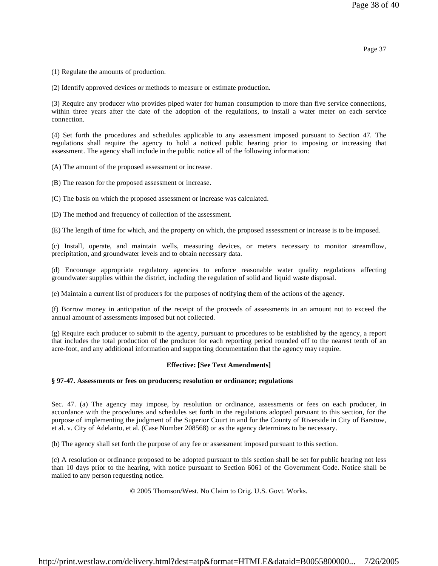Page 37

(1) Regulate the amounts of production.

(2) Identify approved devices or methods to measure or estimate production.

(3) Require any producer who provides piped water for human consumption to more than five service connections, within three years after the date of the adoption of the regulations, to install a water meter on each service connection.

(4) Set forth the procedures and schedules applicable to any assessment imposed pursuant to Section 47. The regulations shall require the agency to hold a noticed public hearing prior to imposing or increasing that assessment. The agency shall include in the public notice all of the following information:

(A) The amount of the proposed assessment or increase.

(B) The reason for the proposed assessment or increase.

(C) The basis on which the proposed assessment or increase was calculated.

(D) The method and frequency of collection of the assessment.

(E) The length of time for which, and the property on which, the proposed assessment or increase is to be imposed.

(c) Install, operate, and maintain wells, measuring devices, or meters necessary to monitor streamflow, precipitation, and groundwater levels and to obtain necessary data.

(d) Encourage appropriate regulatory agencies to enforce reasonable water quality regulations affecting groundwater supplies within the district, including the regulation of solid and liquid waste disposal.

(e) Maintain a current list of producers for the purposes of notifying them of the actions of the agency.

(f) Borrow money in anticipation of the receipt of the proceeds of assessments in an amount not to exceed the annual amount of assessments imposed but not collected.

(g) Require each producer to submit to the agency, pursuant to procedures to be established by the agency, a report that includes the total production of the producer for each reporting period rounded off to the nearest tenth of an acre-foot, and any additional information and supporting documentation that the agency may require.

# **Effective: [See Text Amendments]**

#### **§ 97-47. Assessments or fees on producers; resolution or ordinance; regulations**

Sec. 47. (a) The agency may impose, by resolution or ordinance, assessments or fees on each producer, in accordance with the procedures and schedules set forth in the regulations adopted pursuant to this section, for the purpose of implementing the judgment of the Superior Court in and for the County of Riverside in City of Barstow, et al. v. City of Adelanto, et al. (Case Number 208568) or as the agency determines to be necessary.

(b) The agency shall set forth the purpose of any fee or assessment imposed pursuant to this section.

(c) A resolution or ordinance proposed to be adopted pursuant to this section shall be set for public hearing not less than 10 days prior to the hearing, with notice pursuant to Section 6061 of the Government Code. Notice shall be mailed to any person requesting notice.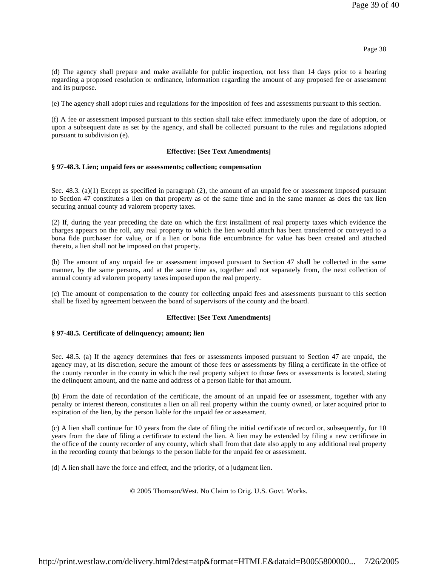(d) The agency shall prepare and make available for public inspection, not less than 14 days prior to a hearing regarding a proposed resolution or ordinance, information regarding the amount of any proposed fee or assessment and its purpose.

(e) The agency shall adopt rules and regulations for the imposition of fees and assessments pursuant to this section.

(f) A fee or assessment imposed pursuant to this section shall take effect immediately upon the date of adoption, or upon a subsequent date as set by the agency, and shall be collected pursuant to the rules and regulations adopted pursuant to subdivision (e).

# **Effective: [See Text Amendments]**

### **§ 97-48.3. Lien; unpaid fees or assessments; collection; compensation**

Sec. 48.3. (a)(1) Except as specified in paragraph (2), the amount of an unpaid fee or assessment imposed pursuant to Section 47 constitutes a lien on that property as of the same time and in the same manner as does the tax lien securing annual county ad valorem property taxes.

(2) If, during the year preceding the date on which the first installment of real property taxes which evidence the charges appears on the roll, any real property to which the lien would attach has been transferred or conveyed to a bona fide purchaser for value, or if a lien or bona fide encumbrance for value has been created and attached thereto, a lien shall not be imposed on that property.

(b) The amount of any unpaid fee or assessment imposed pursuant to Section 47 shall be collected in the same manner, by the same persons, and at the same time as, together and not separately from, the next collection of annual county ad valorem property taxes imposed upon the real property.

(c) The amount of compensation to the county for collecting unpaid fees and assessments pursuant to this section shall be fixed by agreement between the board of supervisors of the county and the board.

# **Effective: [See Text Amendments]**

# **§ 97-48.5. Certificate of delinquency; amount; lien**

Sec. 48.5. (a) If the agency determines that fees or assessments imposed pursuant to Section 47 are unpaid, the agency may, at its discretion, secure the amount of those fees or assessments by filing a certificate in the office of the county recorder in the county in which the real property subject to those fees or assessments is located, stating the delinquent amount, and the name and address of a person liable for that amount.

(b) From the date of recordation of the certificate, the amount of an unpaid fee or assessment, together with any penalty or interest thereon, constitutes a lien on all real property within the county owned, or later acquired prior to expiration of the lien, by the person liable for the unpaid fee or assessment.

(c) A lien shall continue for 10 years from the date of filing the initial certificate of record or, subsequently, for 10 years from the date of filing a certificate to extend the lien. A lien may be extended by filing a new certificate in the office of the county recorder of any county, which shall from that date also apply to any additional real property in the recording county that belongs to the person liable for the unpaid fee or assessment.

(d) A lien shall have the force and effect, and the priority, of a judgment lien.